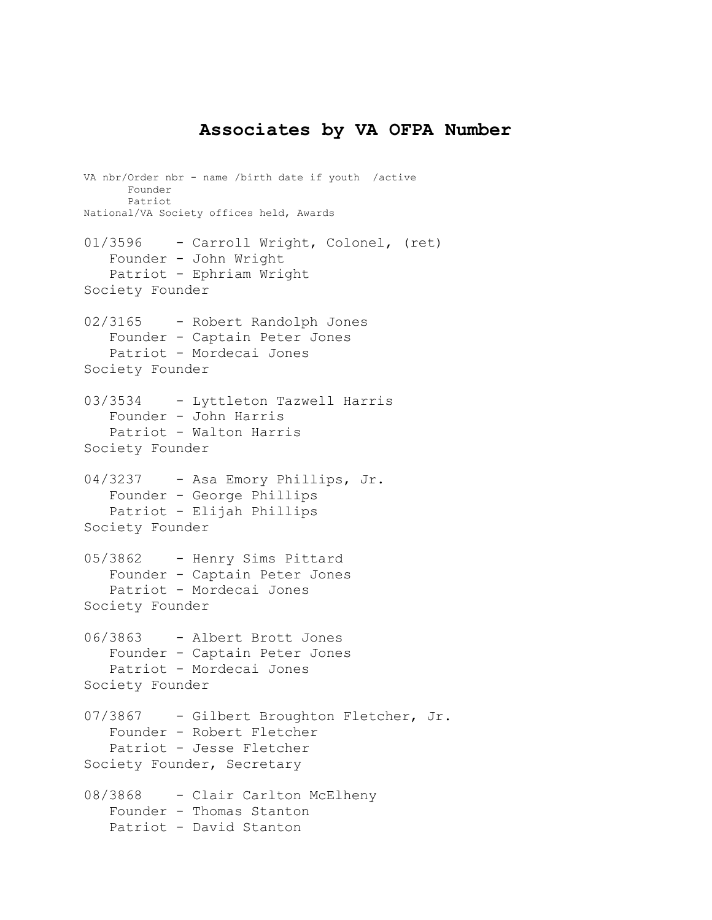## **Associates by VA OFPA Number**

VA nbr/Order nbr - name /birth date if youth /active Founder Patriot National/VA Society offices held, Awards 01/3596 - Carroll Wright, Colonel, (ret) Founder - John Wright Patriot - Ephriam Wright Society Founder 02/3165 - Robert Randolph Jones Founder - Captain Peter Jones Patriot - Mordecai Jones Society Founder 03/3534 - Lyttleton Tazwell Harris Founder - John Harris Patriot - Walton Harris Society Founder 04/3237 - Asa Emory Phillips, Jr. Founder - George Phillips Patriot - Elijah Phillips Society Founder 05/3862 - Henry Sims Pittard Founder - Captain Peter Jones Patriot - Mordecai Jones Society Founder 06/3863 - Albert Brott Jones Founder - Captain Peter Jones Patriot - Mordecai Jones Society Founder 07/3867 - Gilbert Broughton Fletcher, Jr. Founder - Robert Fletcher Patriot - Jesse Fletcher Society Founder, Secretary 08/3868 - Clair Carlton McElheny Founder - Thomas Stanton Patriot - David Stanton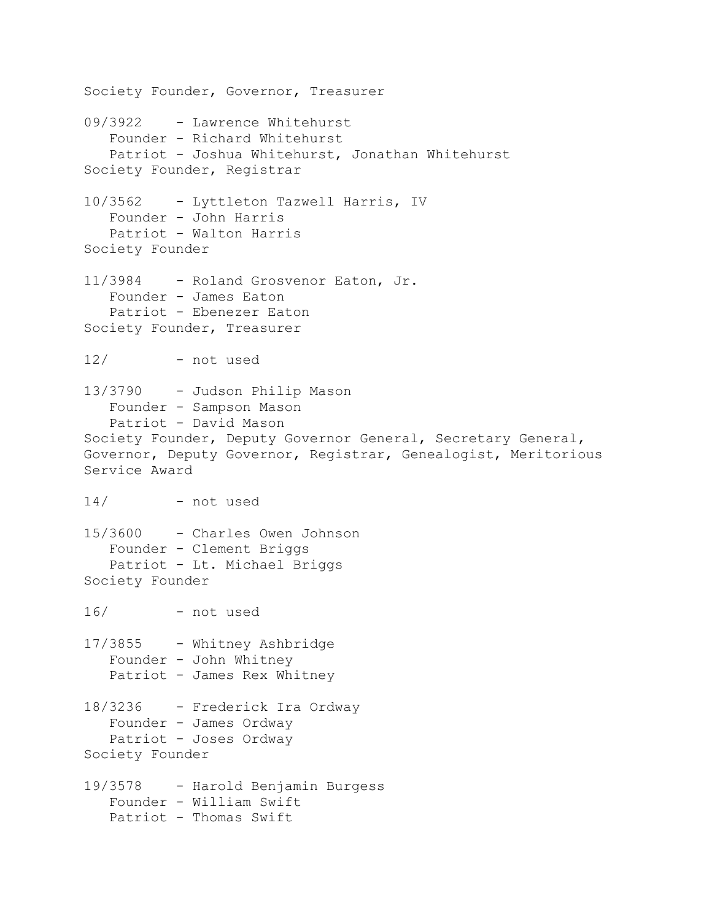Society Founder, Governor, Treasurer 09/3922 - Lawrence Whitehurst Founder - Richard Whitehurst Patriot - Joshua Whitehurst, Jonathan Whitehurst Society Founder, Registrar 10/3562 - Lyttleton Tazwell Harris, IV Founder - John Harris Patriot - Walton Harris Society Founder 11/3984 - Roland Grosvenor Eaton, Jr. Founder - James Eaton Patriot - Ebenezer Eaton Society Founder, Treasurer 12/ - not used 13/3790 - Judson Philip Mason Founder - Sampson Mason Patriot - David Mason Society Founder, Deputy Governor General, Secretary General, Governor, Deputy Governor, Registrar, Genealogist, Meritorious Service Award 14/ - not used 15/3600 - Charles Owen Johnson Founder - Clement Briggs Patriot - Lt. Michael Briggs Society Founder 16/ - not used 17/3855 - Whitney Ashbridge Founder - John Whitney Patriot - James Rex Whitney 18/3236 - Frederick Ira Ordway Founder - James Ordway Patriot - Joses Ordway Society Founder 19/3578 - Harold Benjamin Burgess Founder - William Swift Patriot - Thomas Swift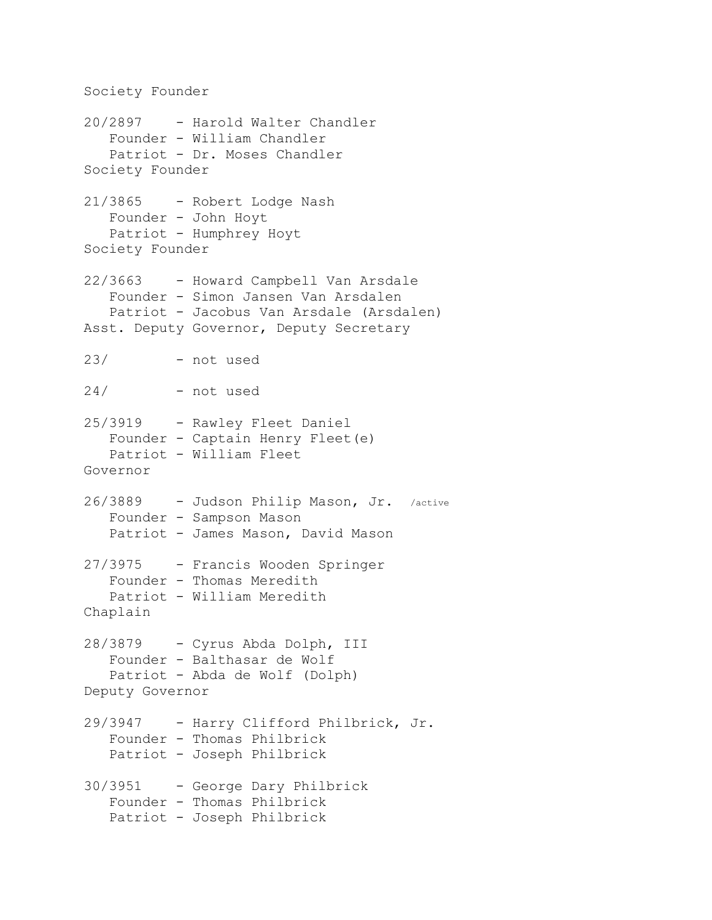Society Founder 20/2897 - Harold Walter Chandler Founder - William Chandler Patriot - Dr. Moses Chandler Society Founder 21/3865 - Robert Lodge Nash Founder - John Hoyt Patriot - Humphrey Hoyt Society Founder 22/3663 - Howard Campbell Van Arsdale Founder - Simon Jansen Van Arsdalen Patriot - Jacobus Van Arsdale (Arsdalen) Asst. Deputy Governor, Deputy Secretary 23/ - not used 24/ - not used 25/3919 - Rawley Fleet Daniel Founder - Captain Henry Fleet(e) Patriot - William Fleet Governor 26/3889 - Judson Philip Mason, Jr. /active Founder - Sampson Mason Patriot - James Mason, David Mason 27/3975 - Francis Wooden Springer Founder - Thomas Meredith Patriot - William Meredith Chaplain 28/3879 - Cyrus Abda Dolph, III Founder - Balthasar de Wolf Patriot - Abda de Wolf (Dolph) Deputy Governor 29/3947 - Harry Clifford Philbrick, Jr. Founder - Thomas Philbrick Patriot - Joseph Philbrick 30/3951 - George Dary Philbrick Founder - Thomas Philbrick Patriot - Joseph Philbrick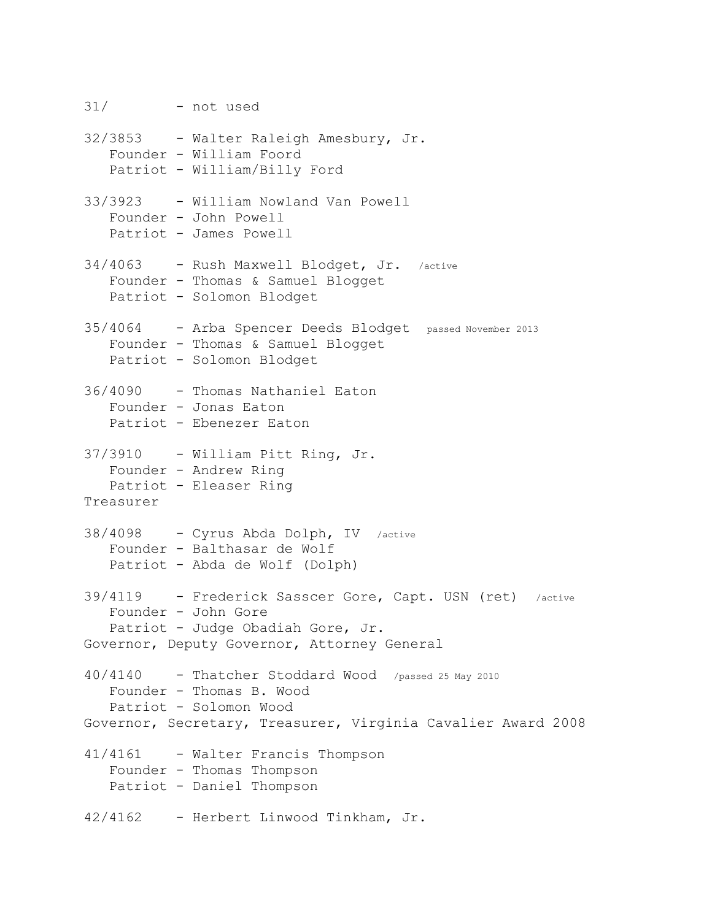31/ - not used 32/3853 - Walter Raleigh Amesbury, Jr. Founder - William Foord Patriot - William/Billy Ford 33/3923 - William Nowland Van Powell Founder - John Powell Patriot - James Powell 34/4063 - Rush Maxwell Blodget, Jr. /active Founder - Thomas & Samuel Blogget Patriot - Solomon Blodget 35/4064 - Arba Spencer Deeds Blodget passed November 2013 Founder - Thomas & Samuel Blogget Patriot - Solomon Blodget 36/4090 - Thomas Nathaniel Eaton Founder - Jonas Eaton Patriot - Ebenezer Eaton 37/3910 - William Pitt Ring, Jr. Founder - Andrew Ring Patriot - Eleaser Ring Treasurer 38/4098 - Cyrus Abda Dolph, IV /active Founder - Balthasar de Wolf Patriot - Abda de Wolf (Dolph) 39/4119 - Frederick Sasscer Gore, Capt. USN (ret) /active Founder - John Gore Patriot - Judge Obadiah Gore, Jr. Governor, Deputy Governor, Attorney General 40/4140 - Thatcher Stoddard Wood /passed 25 May 2010 Founder - Thomas B. Wood Patriot - Solomon Wood Governor, Secretary, Treasurer, Virginia Cavalier Award 2008 41/4161 - Walter Francis Thompson Founder - Thomas Thompson Patriot - Daniel Thompson 42/4162 - Herbert Linwood Tinkham, Jr.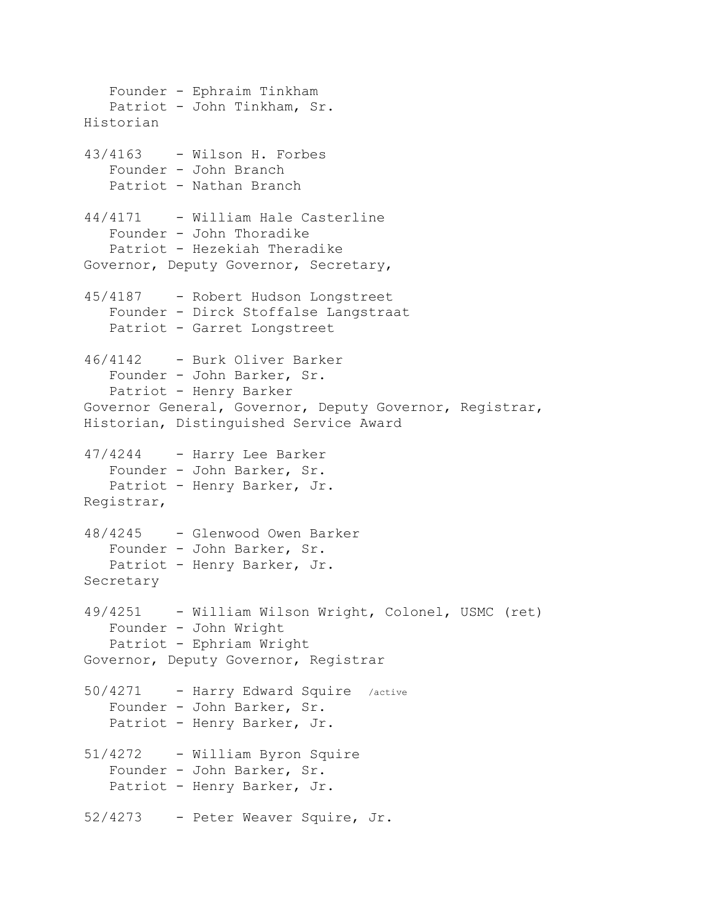Founder - Ephraim Tinkham Patriot - John Tinkham, Sr. Historian 43/4163 - Wilson H. Forbes Founder - John Branch Patriot - Nathan Branch 44/4171 - William Hale Casterline Founder - John Thoradike Patriot - Hezekiah Theradike Governor, Deputy Governor, Secretary, 45/4187 - Robert Hudson Longstreet Founder - Dirck Stoffalse Langstraat Patriot - Garret Longstreet 46/4142 - Burk Oliver Barker Founder - John Barker, Sr. Patriot - Henry Barker Governor General, Governor, Deputy Governor, Registrar, Historian, Distinguished Service Award 47/4244 - Harry Lee Barker Founder - John Barker, Sr. Patriot - Henry Barker, Jr. Registrar, 48/4245 - Glenwood Owen Barker Founder - John Barker, Sr. Patriot - Henry Barker, Jr. Secretary 49/4251 - William Wilson Wright, Colonel, USMC (ret) Founder - John Wright Patriot - Ephriam Wright Governor, Deputy Governor, Registrar 50/4271 - Harry Edward Squire /active Founder - John Barker, Sr. Patriot - Henry Barker, Jr. 51/4272 - William Byron Squire Founder - John Barker, Sr. Patriot - Henry Barker, Jr. 52/4273 - Peter Weaver Squire, Jr.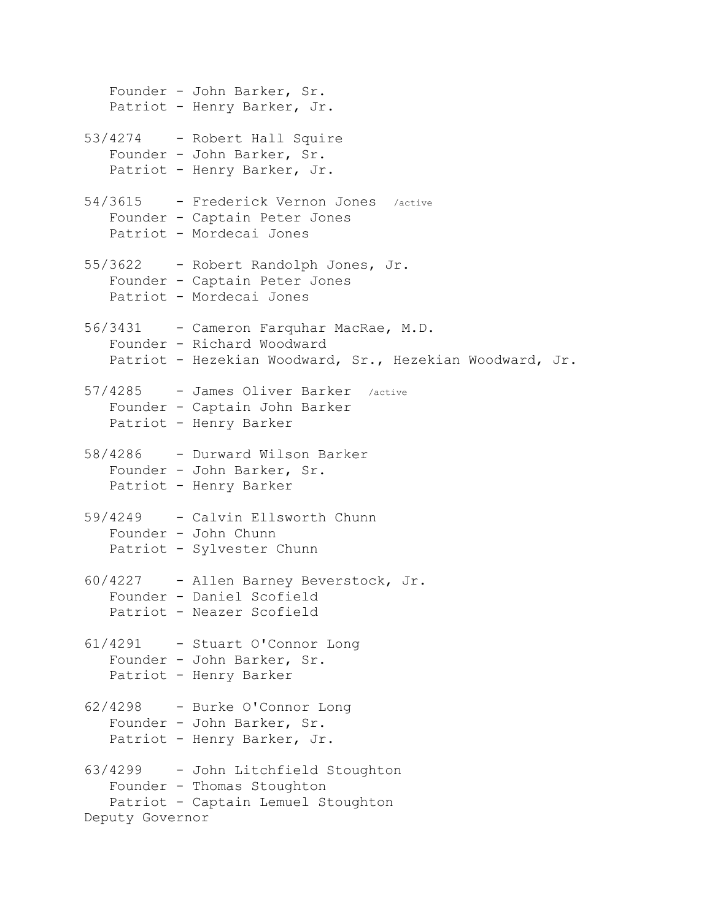Founder - John Barker, Sr. Patriot - Henry Barker, Jr. 53/4274 - Robert Hall Squire Founder - John Barker, Sr. Patriot - Henry Barker, Jr. 54/3615 - Frederick Vernon Jones /active Founder - Captain Peter Jones Patriot - Mordecai Jones 55/3622 - Robert Randolph Jones, Jr. Founder - Captain Peter Jones Patriot - Mordecai Jones 56/3431 - Cameron Farquhar MacRae, M.D. Founder - Richard Woodward Patriot - Hezekian Woodward, Sr., Hezekian Woodward, Jr. 57/4285 - James Oliver Barker /active Founder - Captain John Barker Patriot - Henry Barker 58/4286 - Durward Wilson Barker Founder - John Barker, Sr. Patriot - Henry Barker 59/4249 - Calvin Ellsworth Chunn Founder - John Chunn Patriot - Sylvester Chunn 60/4227 - Allen Barney Beverstock, Jr. Founder - Daniel Scofield Patriot - Neazer Scofield 61/4291 - Stuart O'Connor Long Founder - John Barker, Sr. Patriot - Henry Barker 62/4298 - Burke O'Connor Long Founder - John Barker, Sr. Patriot - Henry Barker, Jr. 63/4299 - John Litchfield Stoughton Founder - Thomas Stoughton Patriot - Captain Lemuel Stoughton Deputy Governor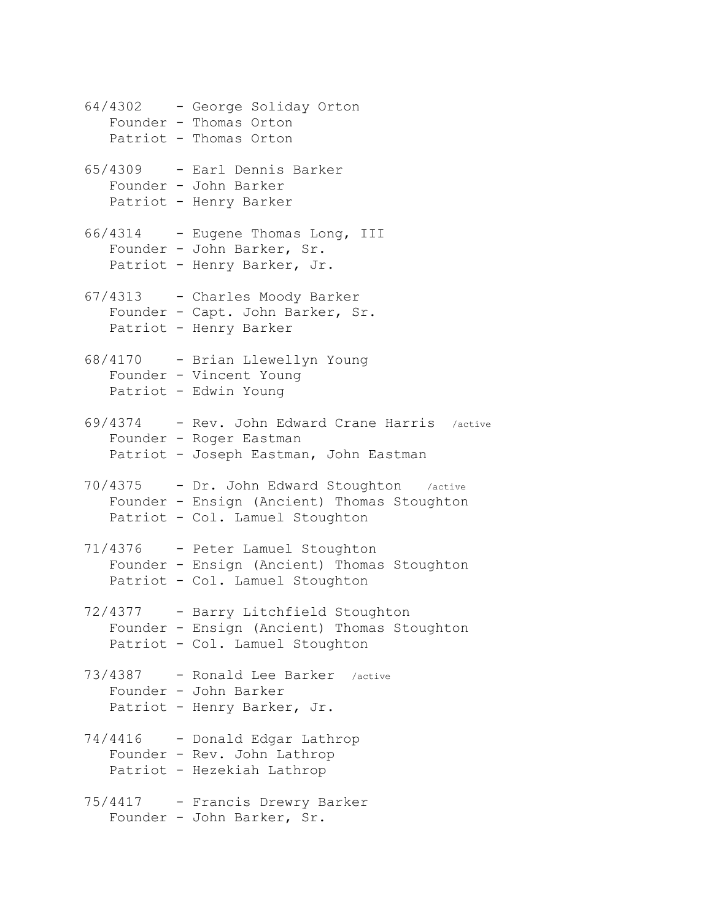64/4302 - George Soliday Orton Founder - Thomas Orton Patriot - Thomas Orton 65/4309 - Earl Dennis Barker Founder - John Barker Patriot - Henry Barker 66/4314 - Eugene Thomas Long, III Founder - John Barker, Sr. Patriot - Henry Barker, Jr. 67/4313 - Charles Moody Barker Founder - Capt. John Barker, Sr. Patriot - Henry Barker 68/4170 - Brian Llewellyn Young Founder - Vincent Young Patriot - Edwin Young 69/4374 - Rev. John Edward Crane Harris /active Founder - Roger Eastman Patriot - Joseph Eastman, John Eastman 70/4375 - Dr. John Edward Stoughton /active Founder - Ensign (Ancient) Thomas Stoughton Patriot - Col. Lamuel Stoughton 71/4376 - Peter Lamuel Stoughton Founder - Ensign (Ancient) Thomas Stoughton Patriot - Col. Lamuel Stoughton 72/4377 - Barry Litchfield Stoughton Founder - Ensign (Ancient) Thomas Stoughton Patriot - Col. Lamuel Stoughton 73/4387 - Ronald Lee Barker /active Founder - John Barker Patriot - Henry Barker, Jr. 74/4416 - Donald Edgar Lathrop Founder - Rev. John Lathrop Patriot - Hezekiah Lathrop 75/4417 - Francis Drewry Barker Founder - John Barker, Sr.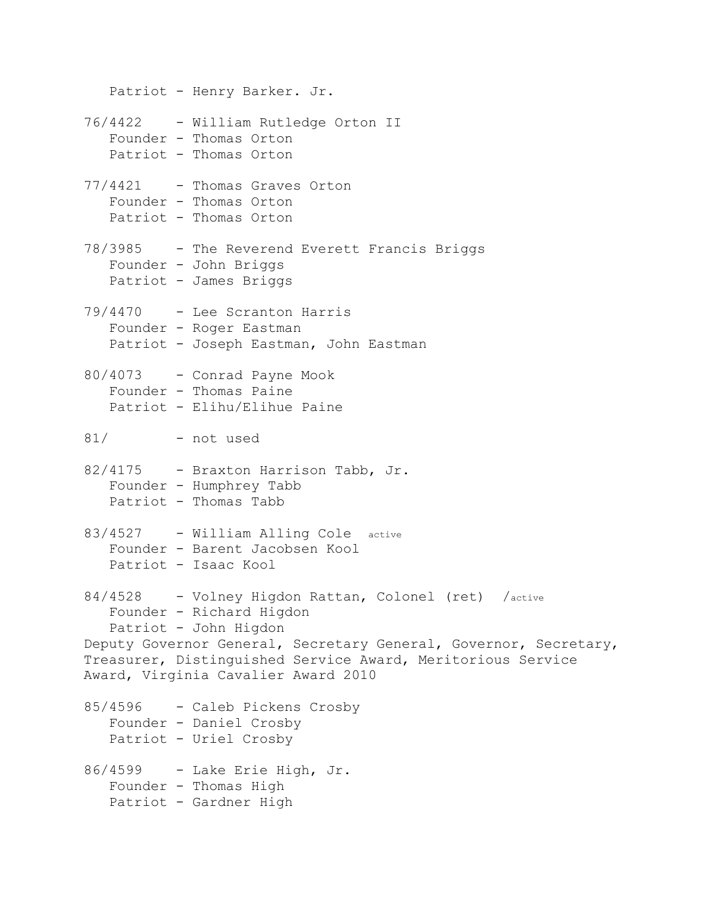Patriot - Henry Barker. Jr. 76/4422 - William Rutledge Orton II Founder - Thomas Orton Patriot - Thomas Orton 77/4421 - Thomas Graves Orton Founder - Thomas Orton Patriot - Thomas Orton 78/3985 - The Reverend Everett Francis Briggs Founder - John Briggs Patriot - James Briggs 79/4470 - Lee Scranton Harris Founder - Roger Eastman Patriot - Joseph Eastman, John Eastman 80/4073 - Conrad Payne Mook Founder - Thomas Paine Patriot - Elihu/Elihue Paine 81/ - not used 82/4175 - Braxton Harrison Tabb, Jr. Founder - Humphrey Tabb Patriot - Thomas Tabb 83/4527 - William Alling Cole active Founder - Barent Jacobsen Kool Patriot - Isaac Kool 84/4528 - Volney Higdon Rattan, Colonel (ret) /active Founder - Richard Higdon Patriot - John Higdon Deputy Governor General, Secretary General, Governor, Secretary, Treasurer, Distinguished Service Award, Meritorious Service Award, Virginia Cavalier Award 2010 85/4596 - Caleb Pickens Crosby Founder - Daniel Crosby Patriot - Uriel Crosby 86/4599 - Lake Erie High, Jr. Founder - Thomas High Patriot - Gardner High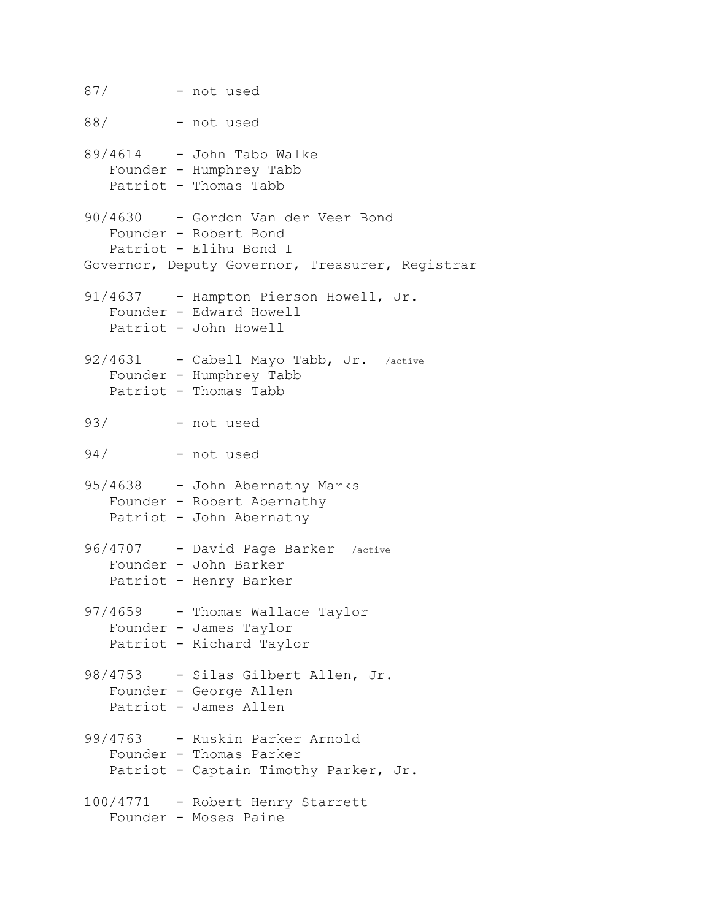87/ - not used 88/ - not used  $89/4614$  - John Tabb Walke Founder - Humphrey Tabb Patriot - Thomas Tabb 90/4630 - Gordon Van der Veer Bond Founder - Robert Bond Patriot - Elihu Bond I Governor, Deputy Governor, Treasurer, Registrar 91/4637 - Hampton Pierson Howell, Jr. Founder - Edward Howell Patriot - John Howell 92/4631 - Cabell Mayo Tabb, Jr. /active Founder - Humphrey Tabb Patriot - Thomas Tabb 93/ - not used 94/ - not used 95/4638 - John Abernathy Marks Founder - Robert Abernathy Patriot - John Abernathy 96/4707 - David Page Barker /active Founder - John Barker Patriot - Henry Barker 97/4659 - Thomas Wallace Taylor Founder - James Taylor Patriot - Richard Taylor 98/4753 - Silas Gilbert Allen, Jr. Founder - George Allen Patriot - James Allen 99/4763 - Ruskin Parker Arnold Founder - Thomas Parker Patriot - Captain Timothy Parker, Jr. 100/4771 - Robert Henry Starrett Founder - Moses Paine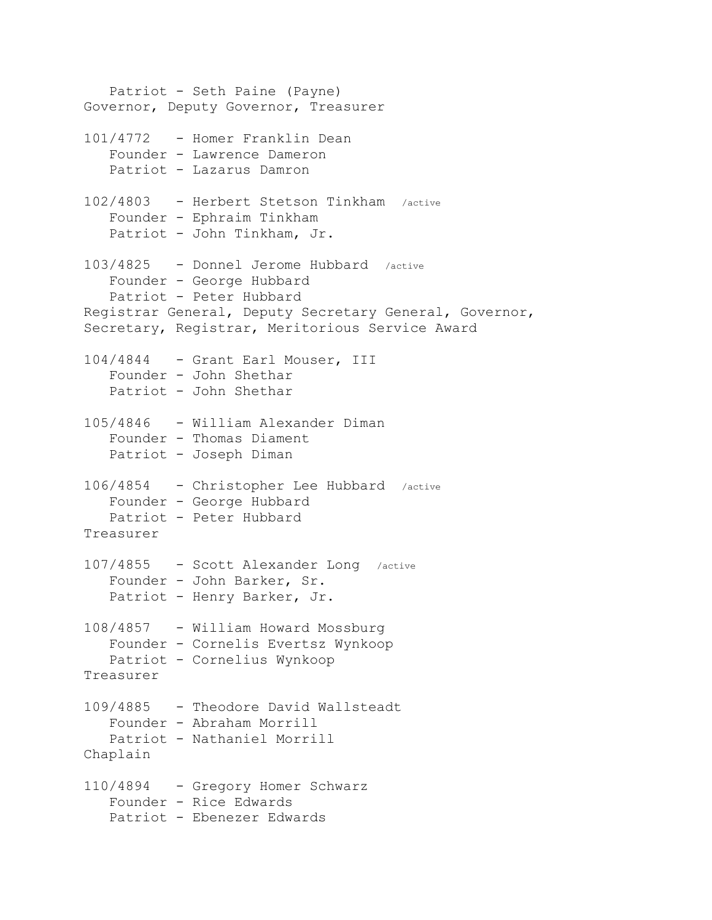Patriot - Seth Paine (Payne) Governor, Deputy Governor, Treasurer 101/4772 - Homer Franklin Dean Founder - Lawrence Dameron Patriot - Lazarus Damron 102/4803 - Herbert Stetson Tinkham /active Founder - Ephraim Tinkham Patriot - John Tinkham, Jr. 103/4825 - Donnel Jerome Hubbard /active Founder - George Hubbard Patriot - Peter Hubbard Registrar General, Deputy Secretary General, Governor, Secretary, Registrar, Meritorious Service Award 104/4844 - Grant Earl Mouser, III Founder - John Shethar Patriot - John Shethar 105/4846 - William Alexander Diman Founder - Thomas Diament Patriot - Joseph Diman 106/4854 - Christopher Lee Hubbard /active Founder - George Hubbard Patriot - Peter Hubbard Treasurer 107/4855 - Scott Alexander Long /active Founder - John Barker, Sr. Patriot - Henry Barker, Jr. 108/4857 - William Howard Mossburg Founder - Cornelis Evertsz Wynkoop Patriot - Cornelius Wynkoop Treasurer 109/4885 - Theodore David Wallsteadt Founder - Abraham Morrill Patriot - Nathaniel Morrill Chaplain 110/4894 - Gregory Homer Schwarz Founder - Rice Edwards Patriot - Ebenezer Edwards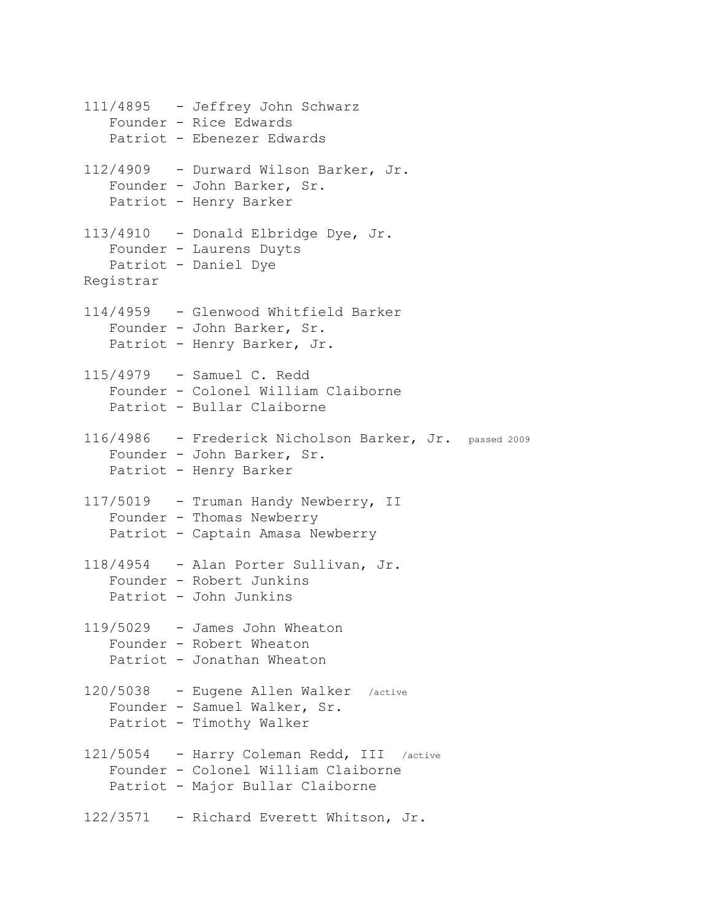111/4895 - Jeffrey John Schwarz Founder - Rice Edwards Patriot - Ebenezer Edwards 112/4909 - Durward Wilson Barker, Jr. Founder - John Barker, Sr. Patriot - Henry Barker 113/4910 - Donald Elbridge Dye, Jr. Founder - Laurens Duyts Patriot - Daniel Dye Registrar 114/4959 - Glenwood Whitfield Barker Founder - John Barker, Sr. Patriot - Henry Barker, Jr. 115/4979 - Samuel C. Redd Founder - Colonel William Claiborne Patriot - Bullar Claiborne 116/4986 - Frederick Nicholson Barker, Jr. passed 2009 Founder - John Barker, Sr. Patriot - Henry Barker 117/5019 - Truman Handy Newberry, II Founder - Thomas Newberry Patriot - Captain Amasa Newberry 118/4954 - Alan Porter Sullivan, Jr. Founder - Robert Junkins Patriot - John Junkins 119/5029 - James John Wheaton Founder - Robert Wheaton Patriot - Jonathan Wheaton 120/5038 - Eugene Allen Walker /active Founder - Samuel Walker, Sr. Patriot - Timothy Walker 121/5054 - Harry Coleman Redd, III /active Founder - Colonel William Claiborne Patriot - Major Bullar Claiborne 122/3571 - Richard Everett Whitson, Jr.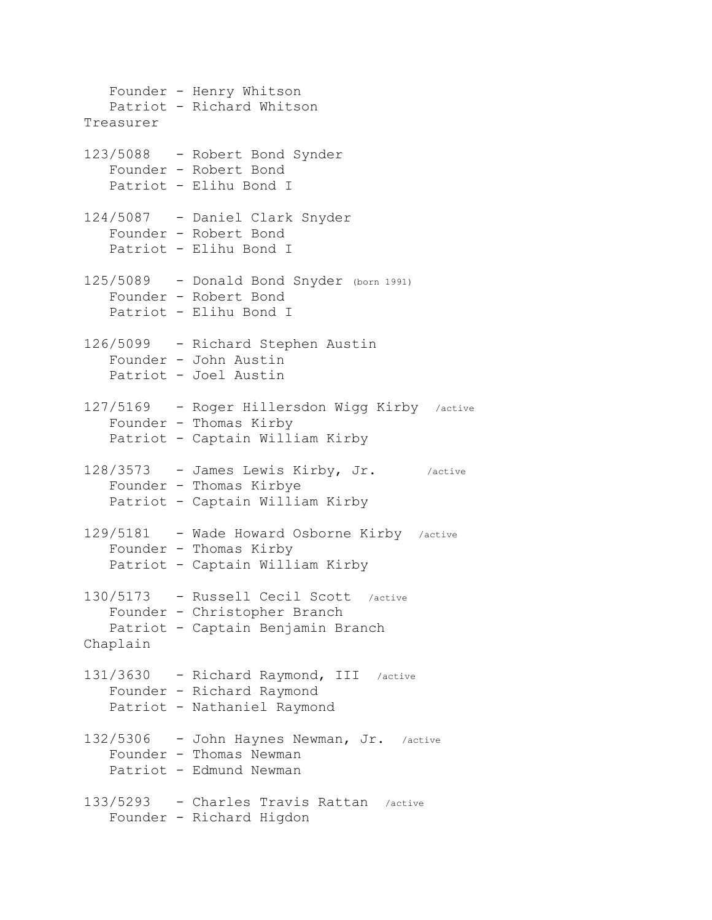Founder - Henry Whitson Patriot - Richard Whitson Treasurer 123/5088 - Robert Bond Synder Founder - Robert Bond Patriot - Elihu Bond I 124/5087 - Daniel Clark Snyder Founder - Robert Bond Patriot - Elihu Bond I 125/5089 - Donald Bond Snyder (born 1991) Founder - Robert Bond Patriot - Elihu Bond I 126/5099 - Richard Stephen Austin Founder - John Austin Patriot - Joel Austin 127/5169 - Roger Hillersdon Wigg Kirby /active Founder - Thomas Kirby Patriot - Captain William Kirby 128/3573 - James Lewis Kirby, Jr. /active Founder - Thomas Kirbye Patriot - Captain William Kirby 129/5181 - Wade Howard Osborne Kirby /active Founder - Thomas Kirby Patriot - Captain William Kirby 130/5173 - Russell Cecil Scott /active Founder - Christopher Branch Patriot - Captain Benjamin Branch Chaplain 131/3630 - Richard Raymond, III /active Founder - Richard Raymond Patriot - Nathaniel Raymond 132/5306 - John Haynes Newman, Jr. /active Founder - Thomas Newman Patriot - Edmund Newman 133/5293 - Charles Travis Rattan /active Founder - Richard Higdon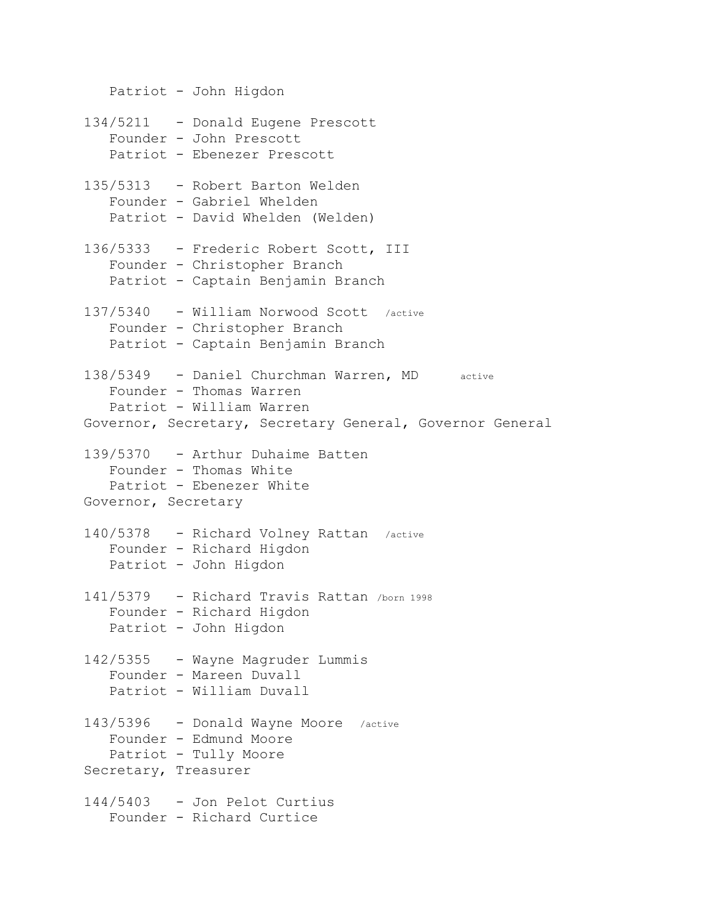Patriot - John Higdon 134/5211 - Donald Eugene Prescott Founder - John Prescott Patriot - Ebenezer Prescott 135/5313 - Robert Barton Welden Founder - Gabriel Whelden Patriot - David Whelden (Welden) 136/5333 - Frederic Robert Scott, III Founder - Christopher Branch Patriot - Captain Benjamin Branch 137/5340 - William Norwood Scott /active Founder - Christopher Branch Patriot - Captain Benjamin Branch 138/5349 - Daniel Churchman Warren, MD active Founder - Thomas Warren Patriot - William Warren Governor, Secretary, Secretary General, Governor General 139/5370 - Arthur Duhaime Batten Founder - Thomas White Patriot - Ebenezer White Governor, Secretary 140/5378 - Richard Volney Rattan /active Founder - Richard Higdon Patriot - John Higdon 141/5379 - Richard Travis Rattan /born <sup>1998</sup> Founder - Richard Higdon Patriot - John Higdon 142/5355 - Wayne Magruder Lummis Founder - Mareen Duvall Patriot - William Duvall 143/5396 - Donald Wayne Moore /active Founder - Edmund Moore Patriot - Tully Moore Secretary, Treasurer 144/5403 - Jon Pelot Curtius Founder - Richard Curtice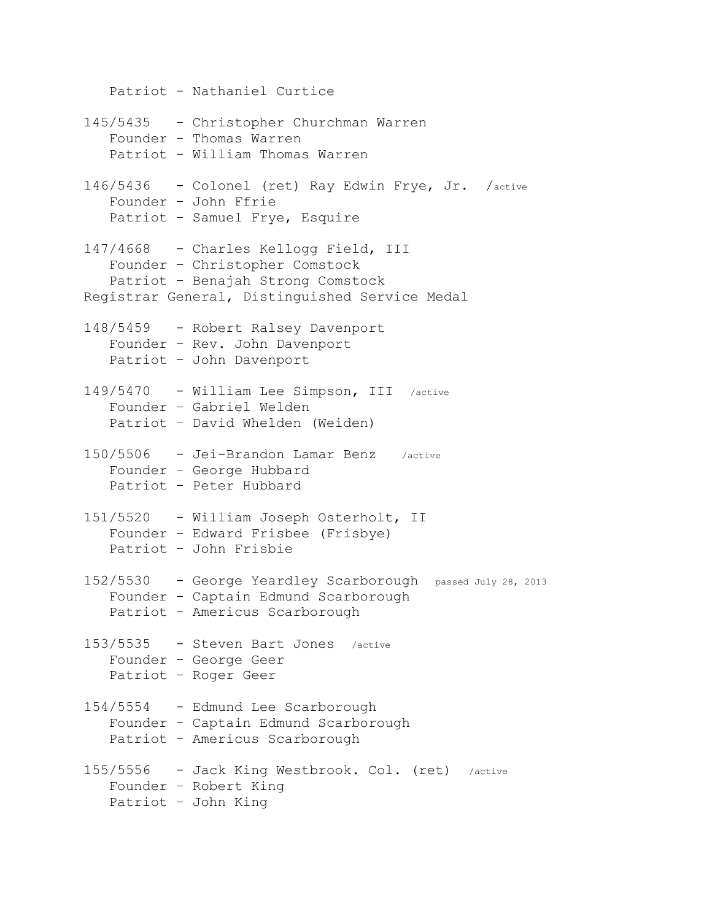Patriot - Nathaniel Curtice 145/5435 - Christopher Churchman Warren Founder - Thomas Warren Patriot - William Thomas Warren 146/5436 - Colonel (ret) Ray Edwin Frye, Jr. /active Founder – John Ffrie Patriot – Samuel Frye, Esquire 147/4668 - Charles Kellogg Field, III Founder – Christopher Comstock Patriot – Benajah Strong Comstock Registrar General, Distinguished Service Medal 148/5459 - Robert Ralsey Davenport Founder – Rev. John Davenport Patriot – John Davenport 149/5470 - William Lee Simpson, III /active Founder – Gabriel Welden Patriot – David Whelden (Weiden) 150/5506 - Jei-Brandon Lamar Benz /active Founder – George Hubbard Patriot – Peter Hubbard 151/5520 - William Joseph Osterholt, II Founder – Edward Frisbee (Frisbye) Patriot – John Frisbie 152/5530 - George Yeardley Scarborough passed July 28, 2013 Founder – Captain Edmund Scarborough Patriot – Americus Scarborough 153/5535 - Steven Bart Jones /active Founder – George Geer Patriot – Roger Geer 154/5554 - Edmund Lee Scarborough Founder – Captain Edmund Scarborough Patriot – Americus Scarborough 155/5556 - Jack King Westbrook. Col. (ret) /active Founder – Robert King Patriot – John King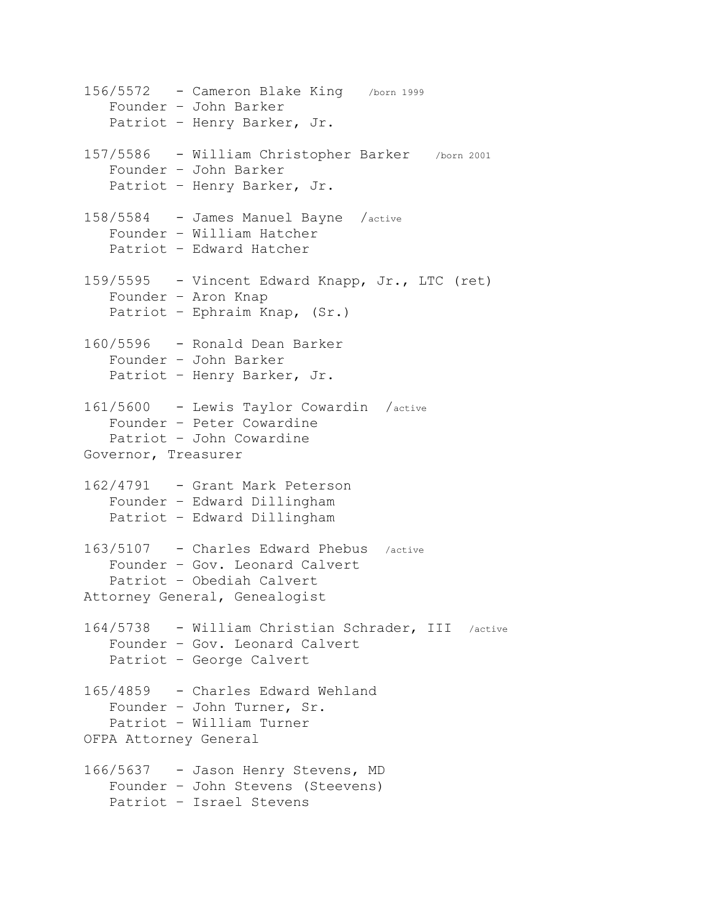156/5572 - Cameron Blake King /born <sup>1999</sup> Founder – John Barker Patriot – Henry Barker, Jr. 157/5586 - William Christopher Barker /born <sup>2001</sup> Founder – John Barker Patriot – Henry Barker, Jr. 158/5584 - James Manuel Bayne /active Founder – William Hatcher Patriot – Edward Hatcher 159/5595 - Vincent Edward Knapp, Jr., LTC (ret) Founder – Aron Knap Patriot – Ephraim Knap, (Sr.) 160/5596 - Ronald Dean Barker Founder – John Barker Patriot – Henry Barker, Jr. 161/5600 - Lewis Taylor Cowardin /active Founder – Peter Cowardine Patriot – John Cowardine Governor, Treasurer 162/4791 - Grant Mark Peterson Founder – Edward Dillingham Patriot – Edward Dillingham 163/5107 - Charles Edward Phebus /active Founder – Gov. Leonard Calvert Patriot – Obediah Calvert Attorney General, Genealogist 164/5738 - William Christian Schrader, III /active Founder – Gov. Leonard Calvert Patriot – George Calvert 165/4859 - Charles Edward Wehland Founder – John Turner, Sr. Patriot – William Turner OFPA Attorney General 166/5637 - Jason Henry Stevens, MD Founder – John Stevens (Steevens) Patriot – Israel Stevens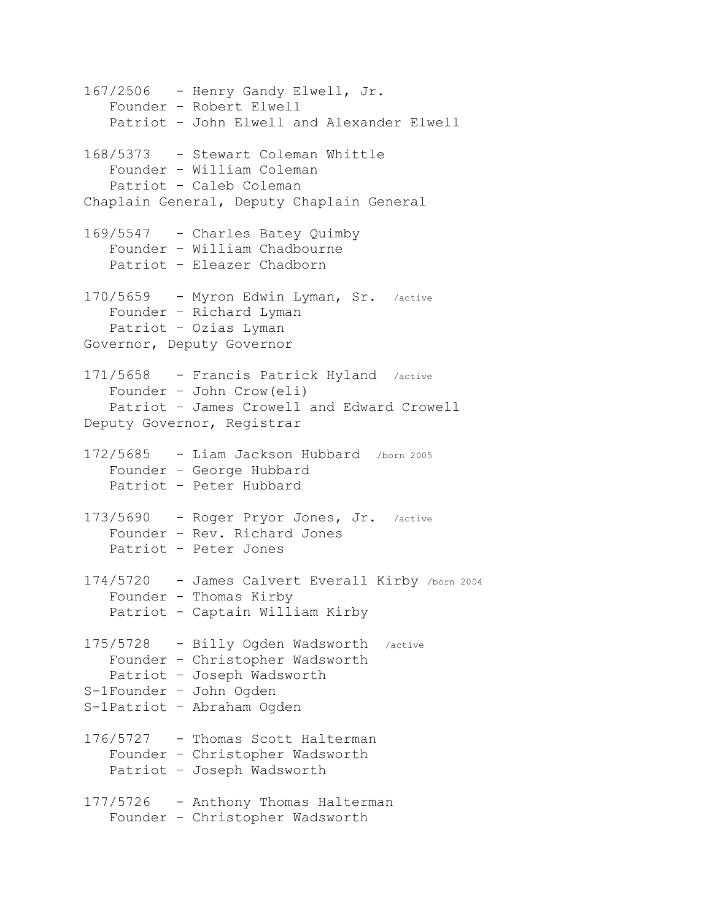167/2506 - Henry Gandy Elwell, Jr. Founder – Robert Elwell Patriot – John Elwell and Alexander Elwell 168/5373 - Stewart Coleman Whittle Founder – William Coleman Patriot – Caleb Coleman Chaplain General, Deputy Chaplain General 169/5547 - Charles Batey Quimby Founder – William Chadbourne Patriot – Eleazer Chadborn 170/5659 - Myron Edwin Lyman, Sr. /active Founder – Richard Lyman Patriot – Ozias Lyman Governor, Deputy Governor 171/5658 - Francis Patrick Hyland /active Founder – John Crow(eli) Patriot – James Crowell and Edward Crowell Deputy Governor, Registrar 172/5685 - Liam Jackson Hubbard /born <sup>2005</sup> Founder – George Hubbard Patriot – Peter Hubbard 173/5690 - Roger Pryor Jones, Jr. /active Founder – Rev. Richard Jones Patriot – Peter Jones 174/5720 - James Calvert Everall Kirby /born <sup>2004</sup> Founder - Thomas Kirby Patriot - Captain William Kirby 175/5728 - Billy Ogden Wadsworth /active Founder – Christopher Wadsworth Patriot – Joseph Wadsworth S-1Founder – John Ogden S-1Patriot – Abraham Ogden 176/5727 - Thomas Scott Halterman Founder – Christopher Wadsworth Patriot – Joseph Wadsworth 177/5726 - Anthony Thomas Halterman Founder – Christopher Wadsworth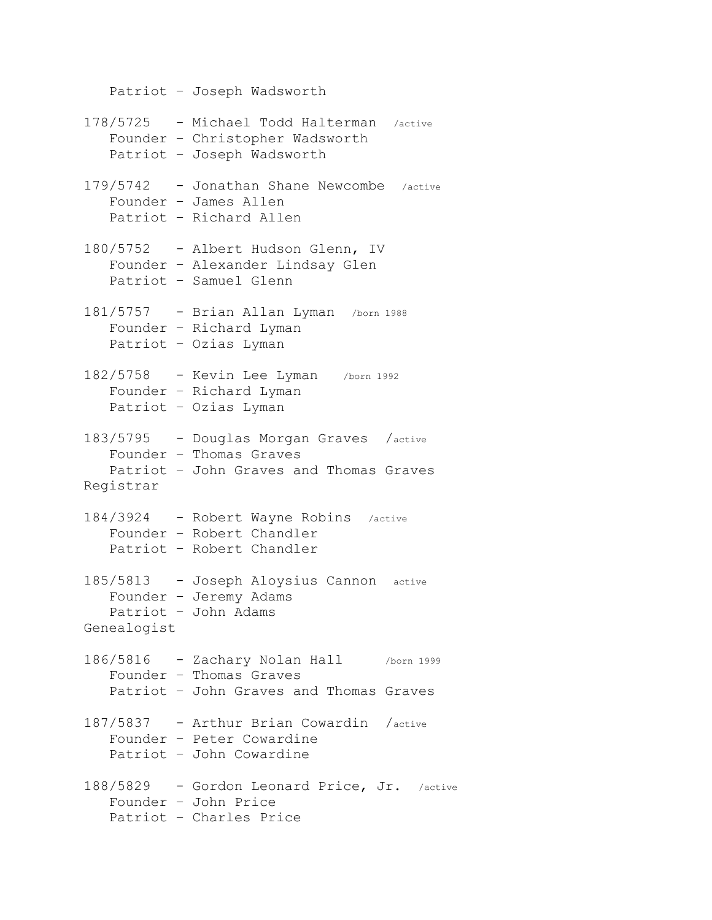Patriot – Joseph Wadsworth 178/5725 - Michael Todd Halterman /active Founder – Christopher Wadsworth Patriot – Joseph Wadsworth 179/5742 - Jonathan Shane Newcombe /active Founder – James Allen Patriot – Richard Allen 180/5752 - Albert Hudson Glenn, IV Founder – Alexander Lindsay Glen Patriot – Samuel Glenn 181/5757 - Brian Allan Lyman /born <sup>1988</sup> Founder – Richard Lyman Patriot – Ozias Lyman 182/5758 - Kevin Lee Lyman /born <sup>1992</sup> Founder – Richard Lyman Patriot – Ozias Lyman 183/5795 - Douglas Morgan Graves /active Founder – Thomas Graves Patriot – John Graves and Thomas Graves Registrar 184/3924 - Robert Wayne Robins /active Founder – Robert Chandler Patriot – Robert Chandler 185/5813 - Joseph Aloysius Cannon active Founder – Jeremy Adams Patriot – John Adams Genealogist 186/5816 - Zachary Nolan Hall /born <sup>1999</sup> Founder – Thomas Graves Patriot – John Graves and Thomas Graves 187/5837 - Arthur Brian Cowardin /active Founder – Peter Cowardine Patriot – John Cowardine 188/5829 - Gordon Leonard Price, Jr. /active Founder – John Price Patriot – Charles Price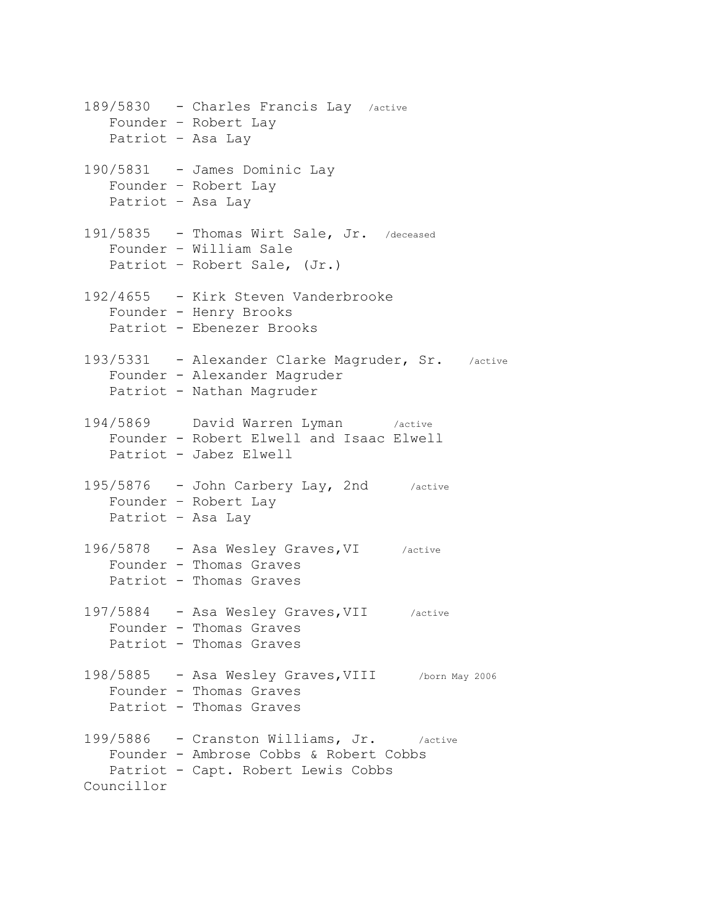189/5830 - Charles Francis Lay /active Founder – Robert Lay Patriot – Asa Lay 190/5831 - James Dominic Lay Founder – Robert Lay Patriot – Asa Lay 191/5835 - Thomas Wirt Sale, Jr. /deceased Founder – William Sale Patriot – Robert Sale, (Jr.) 192/4655 - Kirk Steven Vanderbrooke Founder - Henry Brooks Patriot - Ebenezer Brooks 193/5331 - Alexander Clarke Magruder, Sr. /active Founder - Alexander Magruder Patriot - Nathan Magruder 194/5869 David Warren Lyman /active Founder - Robert Elwell and Isaac Elwell Patriot - Jabez Elwell 195/5876 - John Carbery Lay, 2nd /active Founder – Robert Lay Patriot – Asa Lay 196/5878 - Asa Wesley Graves,VI /active Founder - Thomas Graves Patriot - Thomas Graves 197/5884 - Asa Wesley Graves,VII /active Founder - Thomas Graves Patriot - Thomas Graves 198/5885 - Asa Wesley Graves,VIII /born May 2006 Founder - Thomas Graves Patriot - Thomas Graves 199/5886 - Cranston Williams, Jr. /active Founder - Ambrose Cobbs & Robert Cobbs Patriot - Capt. Robert Lewis Cobbs Councillor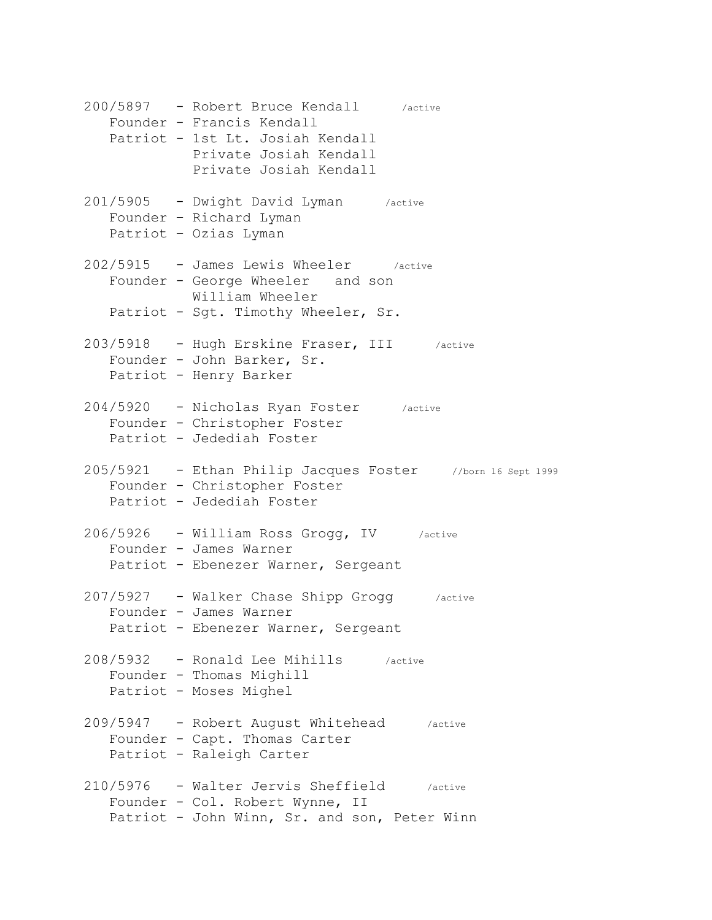200/5897 - Robert Bruce Kendall /active Founder - Francis Kendall Patriot - 1st Lt. Josiah Kendall Private Josiah Kendall Private Josiah Kendall 201/5905 - Dwight David Lyman /active Founder – Richard Lyman Patriot – Ozias Lyman 202/5915 - James Lewis Wheeler /active Founder - George Wheeler and son William Wheeler Patriot - Sqt. Timothy Wheeler, Sr. 203/5918 - Hugh Erskine Fraser, III /active Founder - John Barker, Sr. Patriot - Henry Barker 204/5920 - Nicholas Ryan Foster /active Founder - Christopher Foster Patriot - Jedediah Foster 205/5921 - Ethan Philip Jacques Foster //born 16 Sept 1999 Founder - Christopher Foster Patriot - Jedediah Foster 206/5926 - William Ross Grogg, IV /active Founder - James Warner Patriot - Ebenezer Warner, Sergeant 207/5927 - Walker Chase Shipp Grogg /active Founder - James Warner Patriot - Ebenezer Warner, Sergeant 208/5932 - Ronald Lee Mihills /active Founder - Thomas Mighill Patriot - Moses Mighel 209/5947 - Robert August Whitehead /active Founder - Capt. Thomas Carter Patriot - Raleigh Carter 210/5976 - Walter Jervis Sheffield /active Founder - Col. Robert Wynne, II Patriot - John Winn, Sr. and son, Peter Winn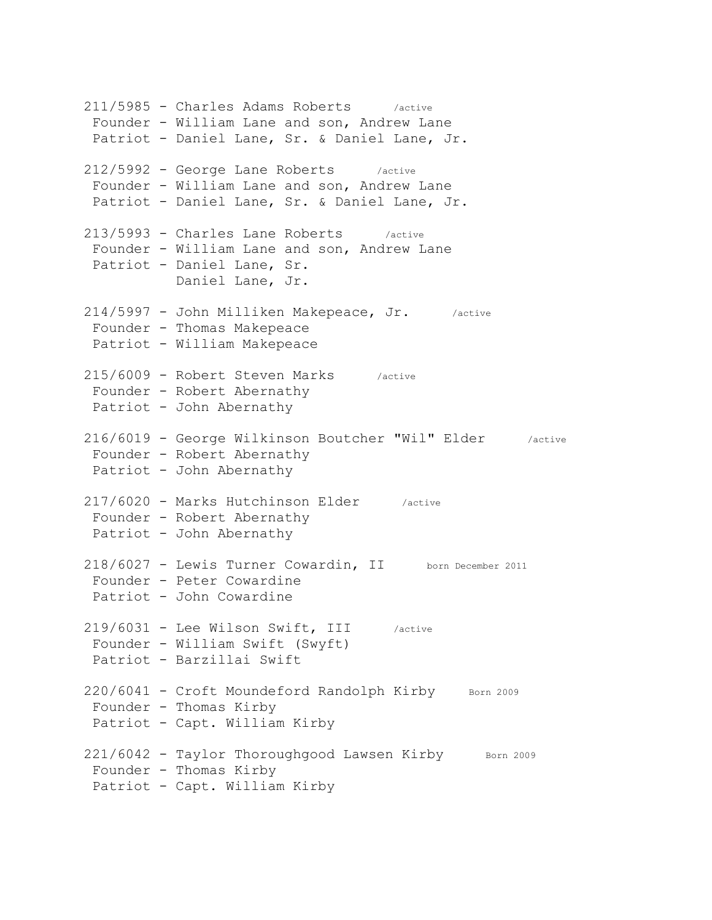211/5985 - Charles Adams Roberts /active Founder - William Lane and son, Andrew Lane Patriot - Daniel Lane, Sr. & Daniel Lane, Jr. 212/5992 - George Lane Roberts /active Founder - William Lane and son, Andrew Lane Patriot - Daniel Lane, Sr. & Daniel Lane, Jr. 213/5993 - Charles Lane Roberts /active Founder - William Lane and son, Andrew Lane Patriot - Daniel Lane, Sr. Daniel Lane, Jr. 214/5997 - John Milliken Makepeace, Jr. /active Founder - Thomas Makepeace Patriot - William Makepeace 215/6009 - Robert Steven Marks /active Founder - Robert Abernathy Patriot - John Abernathy 216/6019 - George Wilkinson Boutcher "Wil" Elder /active Founder - Robert Abernathy Patriot - John Abernathy 217/6020 - Marks Hutchinson Elder /active Founder - Robert Abernathy Patriot - John Abernathy 218/6027 - Lewis Turner Cowardin, II born December 2011 Founder - Peter Cowardine Patriot - John Cowardine 219/6031 - Lee Wilson Swift, III /active Founder - William Swift (Swyft) Patriot - Barzillai Swift  $220/6041$  - Croft Moundeford Randolph Kirby Born 2009 Founder - Thomas Kirby Patriot - Capt. William Kirby 221/6042 - Taylor Thoroughgood Lawsen Kirby Born 2009 Founder - Thomas Kirby Patriot - Capt. William Kirby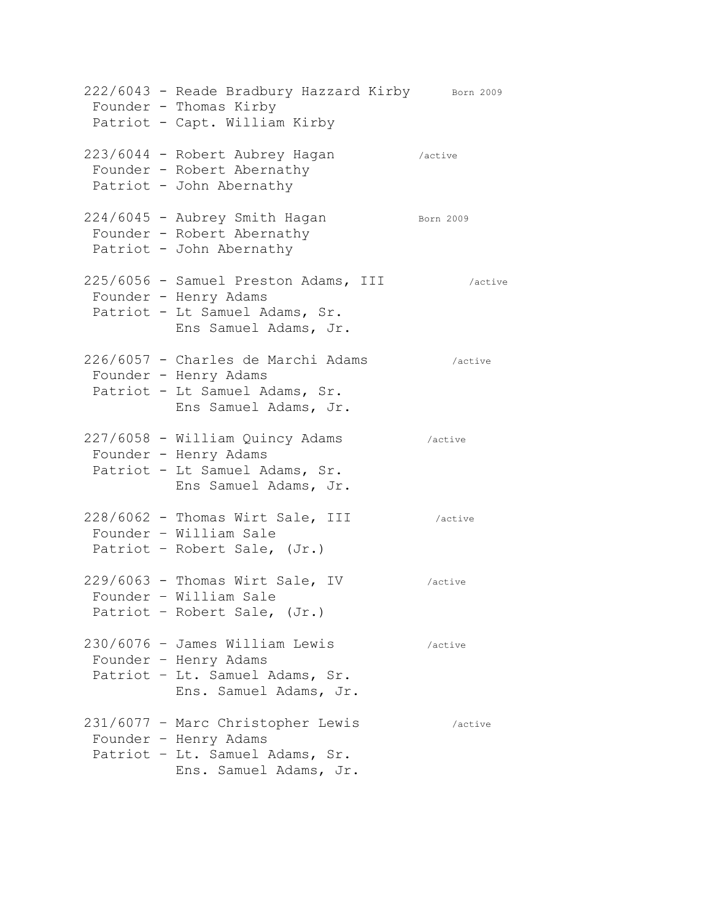|  | 222/6043 - Reade Bradbury Hazzard Kirby Born 2009<br>Founder - Thomas Kirby<br>Patriot - Capt. William Kirby             |           |
|--|--------------------------------------------------------------------------------------------------------------------------|-----------|
|  | 223/6044 - Robert Aubrey Hagan<br>Founder - Robert Abernathy<br>Patriot - John Abernathy                                 | /active   |
|  | 224/6045 - Aubrey Smith Hagan<br>Founder - Robert Abernathy<br>Patriot - John Abernathy                                  | Born 2009 |
|  | 225/6056 - Samuel Preston Adams, III<br>Founder - Henry Adams<br>Patriot - Lt Samuel Adams, Sr.<br>Ens Samuel Adams, Jr. | /active   |
|  | 226/6057 - Charles de Marchi Adams<br>Founder - Henry Adams<br>Patriot - Lt Samuel Adams, Sr.<br>Ens Samuel Adams, Jr.   | /active   |
|  | 227/6058 - William Quincy Adams<br>Founder - Henry Adams<br>Patriot - Lt Samuel Adams, Sr.<br>Ens Samuel Adams, Jr.      | /active   |
|  | 228/6062 - Thomas Wirt Sale, III<br>Founder - William Sale<br>Patriot - Robert Sale, (Jr.)                               | /active   |
|  | 229/6063 - Thomas Wirt Sale, IV<br>Founder - William Sale<br>Patriot - Robert Sale, (Jr.)                                | /active   |
|  | 230/6076 - James William Lewis<br>Founder - Henry Adams<br>Patriot - Lt. Samuel Adams, Sr.<br>Ens. Samuel Adams, Jr.     | /active   |
|  | 231/6077 - Marc Christopher Lewis<br>Founder - Henry Adams<br>Patriot - Lt. Samuel Adams, Sr.<br>Ens. Samuel Adams, Jr.  | /active   |
|  |                                                                                                                          |           |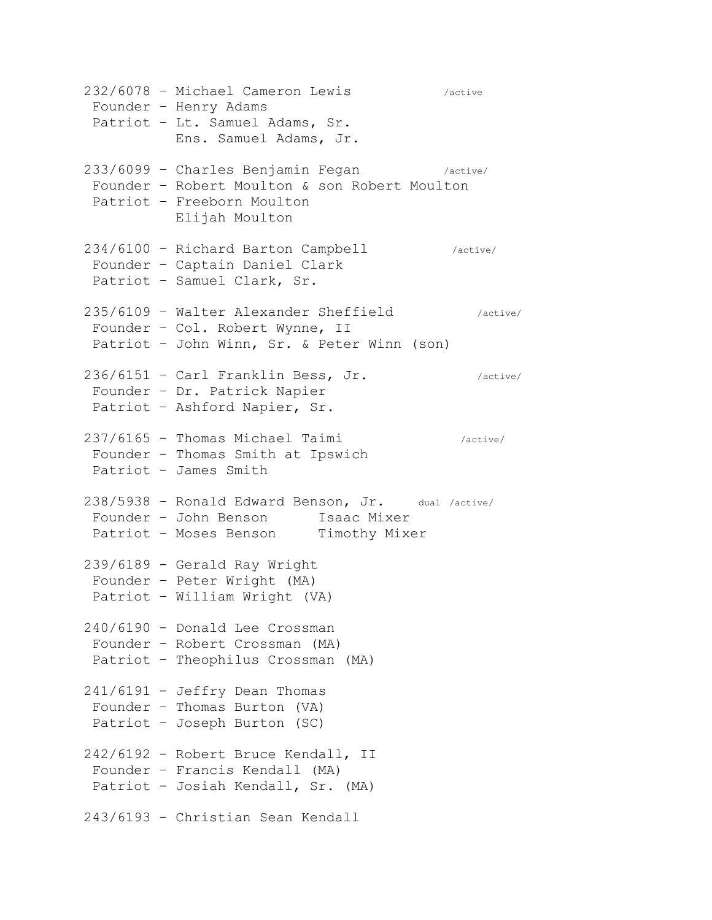232/6078 – Michael Cameron Lewis /active Founder – Henry Adams Patriot – Lt. Samuel Adams, Sr. Ens. Samuel Adams, Jr. 233/6099 – Charles Benjamin Fegan /active/ Founder – Robert Moulton & son Robert Moulton Patriot – Freeborn Moulton Elijah Moulton 234/6100 – Richard Barton Campbell /active/ Founder – Captain Daniel Clark Patriot – Samuel Clark, Sr. 235/6109 – Walter Alexander Sheffield /active/ Founder – Col. Robert Wynne, II Patriot – John Winn, Sr. & Peter Winn (son) 236/6151 - Carl Franklin Bess, Jr. (active/ Founder – Dr. Patrick Napier Patriot – Ashford Napier, Sr. 237/6165 - Thomas Michael Taimi /active/ Founder - Thomas Smith at Ipswich Patriot - James Smith 238/5938 – Ronald Edward Benson, Jr. dual /active/ Founder - John Benson Isaac Mixer Patriot - Moses Benson Timothy Mixer 239/6189 - Gerald Ray Wright Founder – Peter Wright (MA) Patriot – William Wright (VA) 240/6190 - Donald Lee Crossman Founder – Robert Crossman (MA) Patriot – Theophilus Crossman (MA) 241/6191 - Jeffry Dean Thomas Founder – Thomas Burton (VA) Patriot – Joseph Burton (SC) 242/6192 - Robert Bruce Kendall, II Founder – Francis Kendall (MA) Patriot - Josiah Kendall, Sr. (MA) 243/6193 - Christian Sean Kendall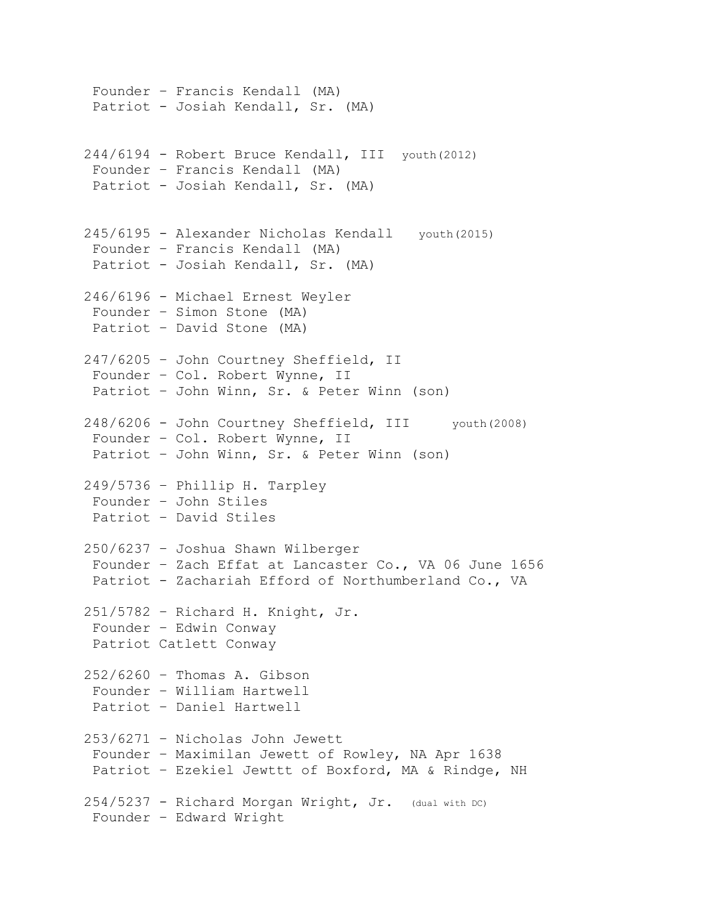```
Founder – Francis Kendall (MA)
 Patriot - Josiah Kendall, Sr. (MA)
244/6194 - Robert Bruce Kendall, III youth(2012)
Founder – Francis Kendall (MA)
Patriot - Josiah Kendall, Sr. (MA)
245/6195 - Alexander Nicholas Kendall youth(2015)
Founder – Francis Kendall (MA)
Patriot - Josiah Kendall, Sr. (MA)
246/6196 - Michael Ernest Weyler
 Founder – Simon Stone (MA)
Patriot – David Stone (MA)
247/6205 – John Courtney Sheffield, II
Founder – Col. Robert Wynne, II
Patriot – John Winn, Sr. & Peter Winn (son)
248/6206 - John Courtney Sheffield, III youth(2008)
 Founder – Col. Robert Wynne, II
Patriot – John Winn, Sr. & Peter Winn (son)
249/5736 – Phillip H. Tarpley
Founder – John Stiles
Patriot – David Stiles
250/6237 – Joshua Shawn Wilberger
Founder – Zach Effat at Lancaster Co., VA 06 June 1656
Patriot - Zachariah Efford of Northumberland Co., VA
251/5782 – Richard H. Knight, Jr.
Founder – Edwin Conway
Patriot Catlett Conway
252/6260 – Thomas A. Gibson
Founder – William Hartwell
Patriot – Daniel Hartwell
253/6271 – Nicholas John Jewett
 Founder – Maximilan Jewett of Rowley, NA Apr 1638
Patriot – Ezekiel Jewttt of Boxford, MA & Rindge, NH
254/5237 - Richard Morgan Wright, Jr. (dual with DC)
Founder – Edward Wright
```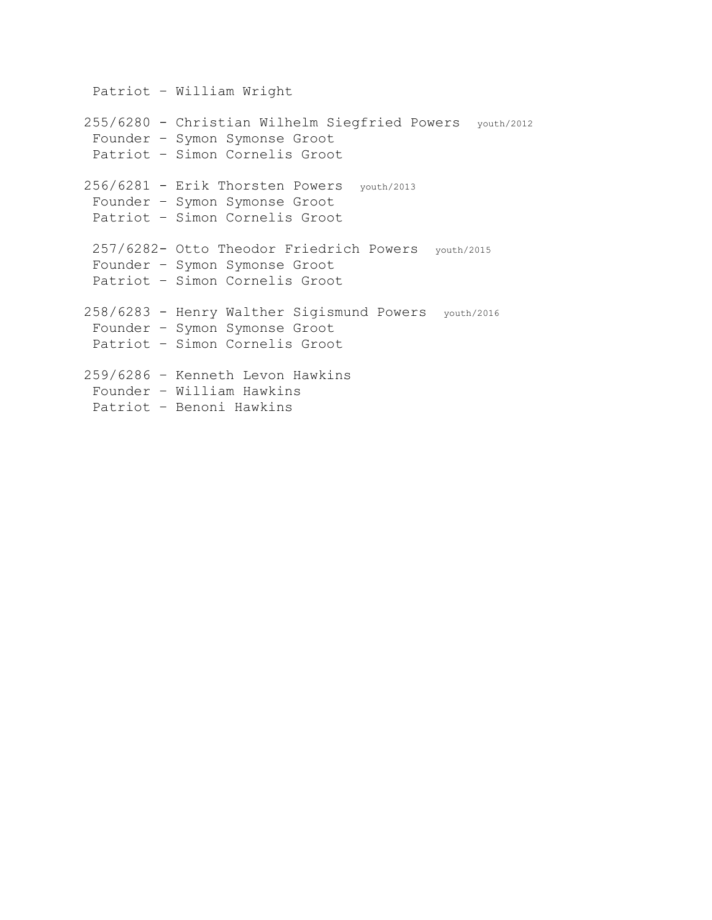Patriot – William Wright 255/6280 - Christian Wilhelm Siegfried Powers youth/2012 Founder – Symon Symonse Groot Patriot – Simon Cornelis Groot 256/6281 - Erik Thorsten Powers youth/2013 Founder – Symon Symonse Groot Patriot – Simon Cornelis Groot 257/6282- Otto Theodor Friedrich Powers youth/2015 Founder – Symon Symonse Groot Patriot – Simon Cornelis Groot 258/6283 - Henry Walther Sigismund Powers youth/2016 Founder – Symon Symonse Groot Patriot – Simon Cornelis Groot 259/6286 – Kenneth Levon Hawkins Founder – William Hawkins Patriot – Benoni Hawkins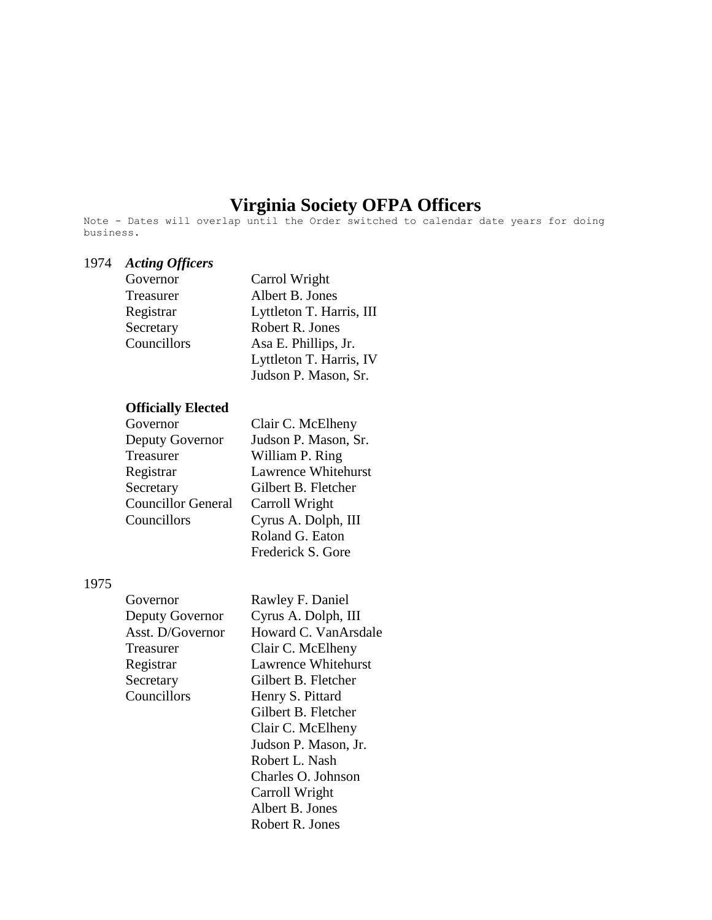# **Virginia Society OFPA Officers**

Note - Dates will overlap until the Order switched to calendar date years for doing business.

## 1974 *Acting Officers*

| Governor    | Carrol Wright            |
|-------------|--------------------------|
| Treasurer   | Albert B. Jones          |
| Registrar   | Lyttleton T. Harris, III |
| Secretary   | Robert R. Jones          |
| Councillors | Asa E. Phillips, Jr.     |
|             | Lyttleton T. Harris, IV  |
|             | Judson P. Mason, Sr.     |

#### **Officially Elected**

| Governor                  | Clair C. McElheny    |
|---------------------------|----------------------|
| Deputy Governor           | Judson P. Mason, Sr. |
| Treasurer                 | William P. Ring      |
| Registrar                 | Lawrence Whitehurst  |
| Secretary                 | Gilbert B. Fletcher  |
| <b>Councillor General</b> | Carroll Wright       |
| Councillors               | Cyrus A. Dolph, III  |
|                           | Roland G. Eaton      |
|                           | Frederick S. Gore    |

#### 1975

| Governor         |
|------------------|
| Deputy Governor  |
| Asst. D/Governor |
| Treasurer        |
| Registrar        |
| Secretary        |
| Councillors      |
|                  |

Rawley F. Daniel Cyrus A. Dolph, III Howard C. VanArsdale Clair C. McElheny Lawrence Whitehurst Gilbert B. Fletcher Henry S. Pittard Gilbert B. Fletcher Clair C. McElheny Judson P. Mason, Jr. Robert L. Nash Charles O. Johnson Carroll Wright Albert B. Jones Robert R. Jones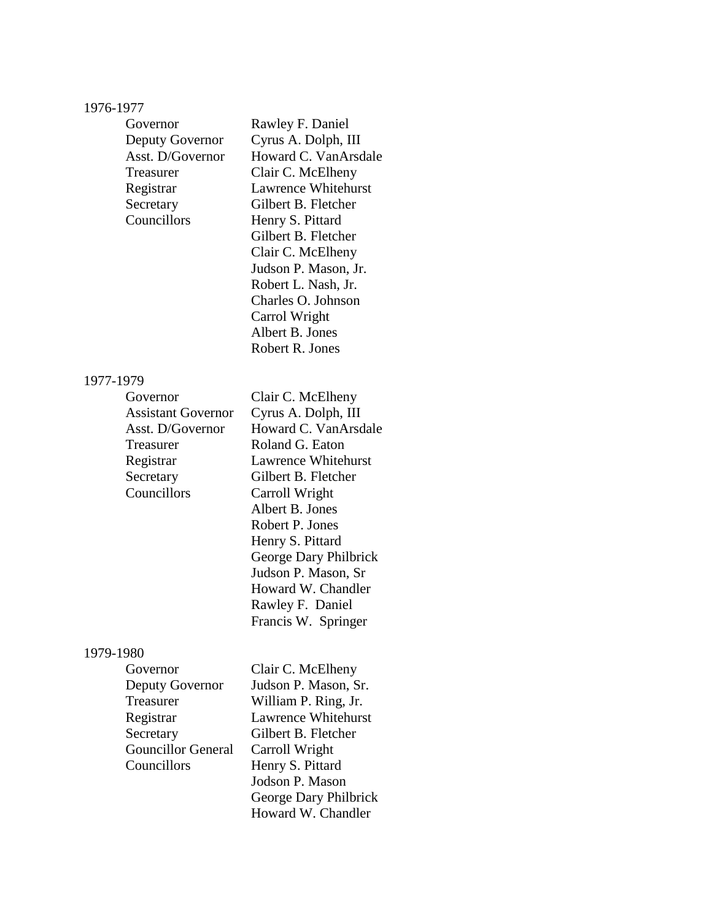# 1976-1977

| Governor<br>Deputy Governor<br>Asst. D/Governor<br>Treasurer<br>Registrar<br>Secretary<br>Councillors                        | Rawley F. Daniel<br>Cyrus A. Dolph, III<br>Howard C. VanArsdale<br>Clair C. McElheny<br><b>Lawrence Whitehurst</b><br>Gilbert B. Fletcher<br>Henry S. Pittard<br>Gilbert B. Fletcher<br>Clair C. McElheny<br>Judson P. Mason, Jr.<br>Robert L. Nash, Jr.<br>Charles O. Johnson<br>Carrol Wright<br>Albert B. Jones<br>Robert R. Jones |
|------------------------------------------------------------------------------------------------------------------------------|---------------------------------------------------------------------------------------------------------------------------------------------------------------------------------------------------------------------------------------------------------------------------------------------------------------------------------------|
| 1977-1979                                                                                                                    |                                                                                                                                                                                                                                                                                                                                       |
| Governor<br><b>Assistant Governor</b><br>Asst. D/Governor<br>Treasurer<br>Registrar<br>Secretary<br>Councillors<br>1979-1980 | Clair C. McElheny<br>Cyrus A. Dolph, III<br>Howard C. VanArsdale<br>Roland G. Eaton<br>Lawrence Whitehurst<br>Gilbert B. Fletcher<br>Carroll Wright<br>Albert B. Jones<br>Robert P. Jones<br>Henry S. Pittard<br>George Dary Philbrick<br>Judson P. Mason, Sr<br>Howard W. Chandler<br>Rawley F. Daniel<br>Francis W. Springer        |

# 1979-1980<br>Gov

| Governor                  | Clair C. McElheny          |
|---------------------------|----------------------------|
| Deputy Governor           | Judson P. Mason, Sr.       |
| Treasurer                 | William P. Ring, Jr.       |
| Registrar                 | <b>Lawrence Whitehurst</b> |
| Secretary                 | Gilbert B. Fletcher        |
| <b>Gouncillor General</b> | Carroll Wright             |
| Councillors               | Henry S. Pittard           |
|                           | Jodson P. Mason            |
|                           | George Dary Philbrick      |
|                           | Howard W. Chandler         |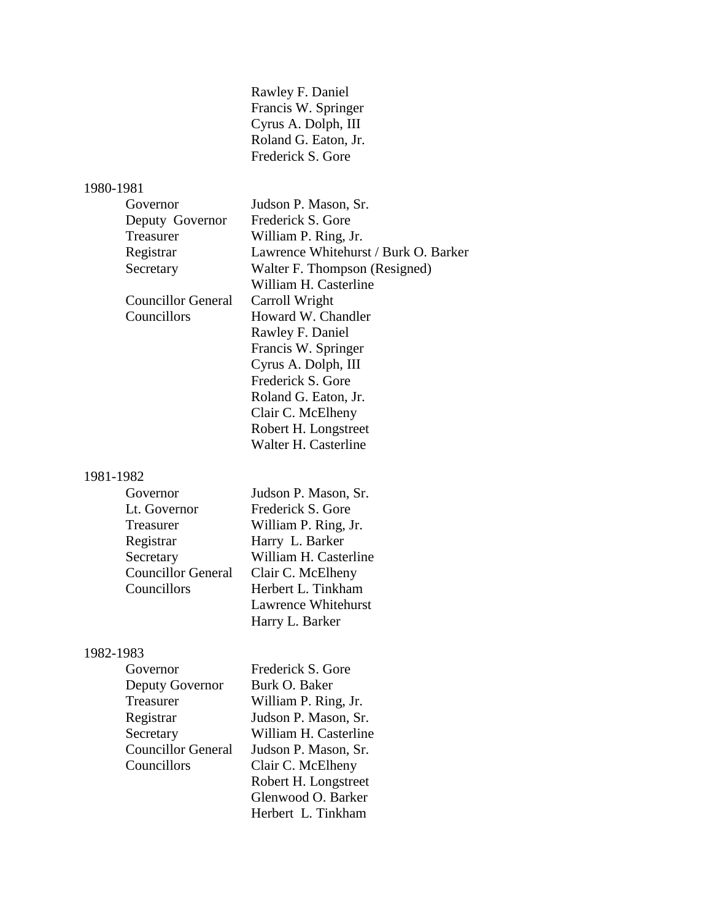| Rawley F. Daniel     |
|----------------------|
| Francis W. Springer  |
| Cyrus A. Dolph, III  |
| Roland G. Eaton, Jr. |
| Frederick S. Gore    |

# 1980-1981

| Governor           | Judson P. Mason, Sr.                 |
|--------------------|--------------------------------------|
| Deputy Governor    | Frederick S. Gore                    |
| Treasurer          | William P. Ring, Jr.                 |
| Registrar          | Lawrence Whitehurst / Burk O. Barker |
| Secretary          | Walter F. Thompson (Resigned)        |
|                    | William H. Casterline                |
| Councillor General | Carroll Wright                       |
| Councillors        | Howard W. Chandler                   |
|                    | Rawley F. Daniel                     |
|                    | Francis W. Springer                  |
|                    | Cyrus A. Dolph, III                  |
|                    | Frederick S. Gore                    |
|                    | Roland G. Eaton, Jr.                 |
|                    | Clair C. McElheny                    |
|                    | Robert H. Longstreet                 |
|                    | Walter H. Casterline                 |
|                    |                                      |

# 1981-1982

| Governor                  | Judson P. Mason, Sr.       |
|---------------------------|----------------------------|
| Lt. Governor              | Frederick S. Gore          |
| Treasurer                 | William P. Ring, Jr.       |
| Registrar                 | Harry L. Barker            |
| Secretary                 | William H. Casterline      |
| <b>Councillor General</b> | Clair C. McElheny          |
| Councillors               | Herbert L. Tinkham         |
|                           | <b>Lawrence Whitehurst</b> |
|                           | Harry L. Barker            |

# 1982-1983<br>Gov

| Governor                  | Frederick S. Gore     |
|---------------------------|-----------------------|
| Deputy Governor           | Burk O. Baker         |
| Treasurer                 | William P. Ring, Jr.  |
| Registrar                 | Judson P. Mason, Sr.  |
| Secretary                 | William H. Casterline |
| <b>Councillor General</b> | Judson P. Mason, Sr.  |
| Councillors               | Clair C. McElheny     |
|                           | Robert H. Longstreet  |
|                           | Glenwood O. Barker    |
|                           | Herbert L. Tinkham    |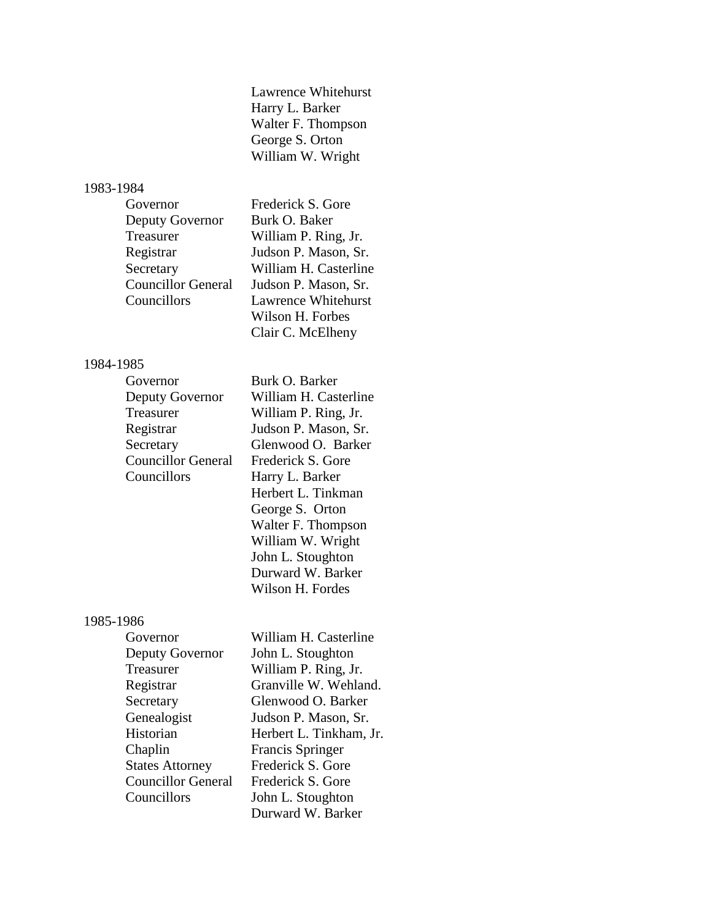Lawrence Whitehurst Harry L. Barker Walter F. Thompson George S. Orton William W. Wright

#### 1983-1984

| Governor                  | Frederick S. Gore     |
|---------------------------|-----------------------|
| Deputy Governor           | Burk O. Baker         |
| Treasurer                 | William P. Ring, Jr.  |
| Registrar                 | Judson P. Mason, Sr.  |
| Secretary                 | William H. Casterline |
| <b>Councillor General</b> | Judson P. Mason, Sr.  |
| Councillors               | Lawrence Whitehurst   |
|                           | Wilson H. Forbes      |
|                           | Clair C. McElheny     |

### 1984-1985

| Governor                  | Burk O. Barker        |
|---------------------------|-----------------------|
| Deputy Governor           | William H. Casterline |
| Treasurer                 | William P. Ring, Jr.  |
| Registrar                 | Judson P. Mason, Sr.  |
| Secretary                 | Glenwood O. Barker    |
| <b>Councillor General</b> | Frederick S. Gore     |
| Councillors               | Harry L. Barker       |
|                           | Herbert L. Tinkman    |
|                           | George S. Orton       |
|                           | Walter F. Thompson    |

#### 1985-1986

| Governor                  | William H. Casterline   |
|---------------------------|-------------------------|
| Deputy Governor           | John L. Stoughton       |
| Treasurer                 | William P. Ring, Jr.    |
| Registrar                 | Granville W. Wehland.   |
| Secretary                 | Glenwood O. Barker      |
| Genealogist               | Judson P. Mason, Sr.    |
| Historian                 | Herbert L. Tinkham, Jr. |
| Chaplin                   | <b>Francis Springer</b> |
| <b>States Attorney</b>    | Frederick S. Gore       |
| <b>Councillor General</b> | Frederick S. Gore       |
| Councillors               | John L. Stoughton       |
|                           | Durward W. Barker       |

William W. Wright John L. Stoughton Durward W. Barker Wilson H. Fordes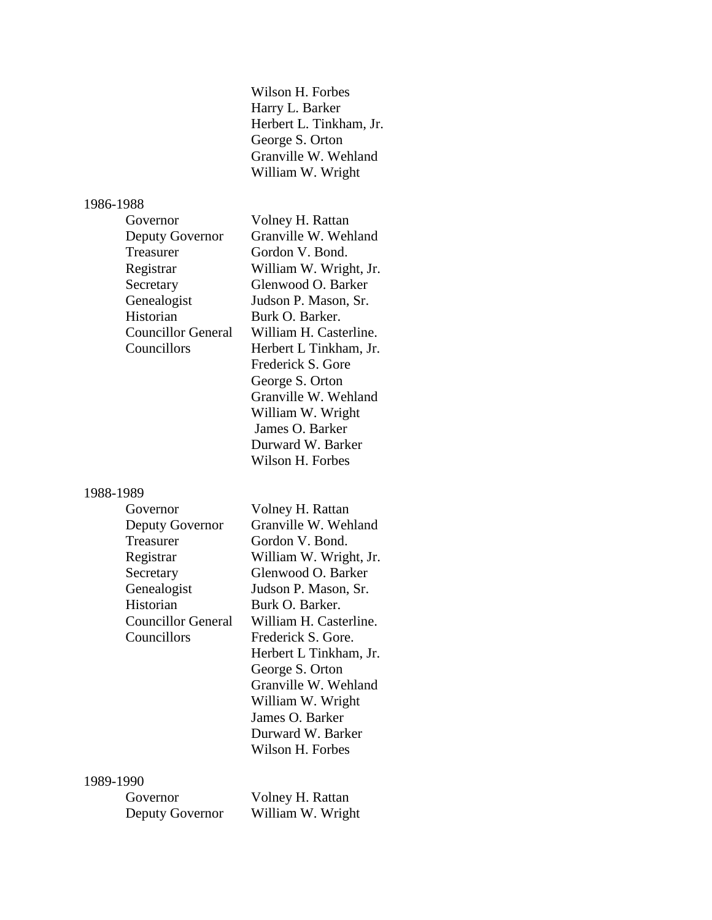Wilson H. Forbes Harry L. Barker Herbert L. Tinkham, Jr. George S. Orton Granville W. Wehland William W. Wright

Volney H. Rattan Granville W. Wehland Gordon V. Bond. William W. Wright, Jr. Glenwood O. Barker Judson P. Mason, Sr. Burk O. Barker.

William H. Casterline. Herbert L Tinkham, Jr. Frederick S. Gore George S. Orton

Granville W. Wehland William W. Wright James O. Barker Durward W. Barker Wilson H. Forbes

# 1986-1988

| Governor                  |
|---------------------------|
| Deputy Governor           |
| Treasurer                 |
| Registrar                 |
| Secretary                 |
| Genealogist               |
| Historian                 |
| <b>Councillor General</b> |
| Councillors               |
|                           |

1988-1989

| Governor                  | Volney H. Rattan       |
|---------------------------|------------------------|
| Deputy Governor           | Granville W. Wehland   |
| Treasurer                 | Gordon V. Bond.        |
| Registrar                 | William W. Wright, Jr. |
| Secretary                 | Glenwood O. Barker     |
| Genealogist               | Judson P. Mason, Sr.   |
| Historian                 | Burk O. Barker.        |
| <b>Councillor General</b> | William H. Casterline. |
| Councillors               | Frederick S. Gore.     |
|                           | Herbert L Tinkham, Jr. |
|                           | George S. Orton        |
|                           | Granville W. Wehland   |
|                           | William W. Wright      |
|                           | James O. Barker        |
|                           | Durward W. Barker      |
|                           | Wilson H. Forbes       |

#### 1989-1990

| Governor        | Volney H. Rattan  |
|-----------------|-------------------|
| Deputy Governor | William W. Wright |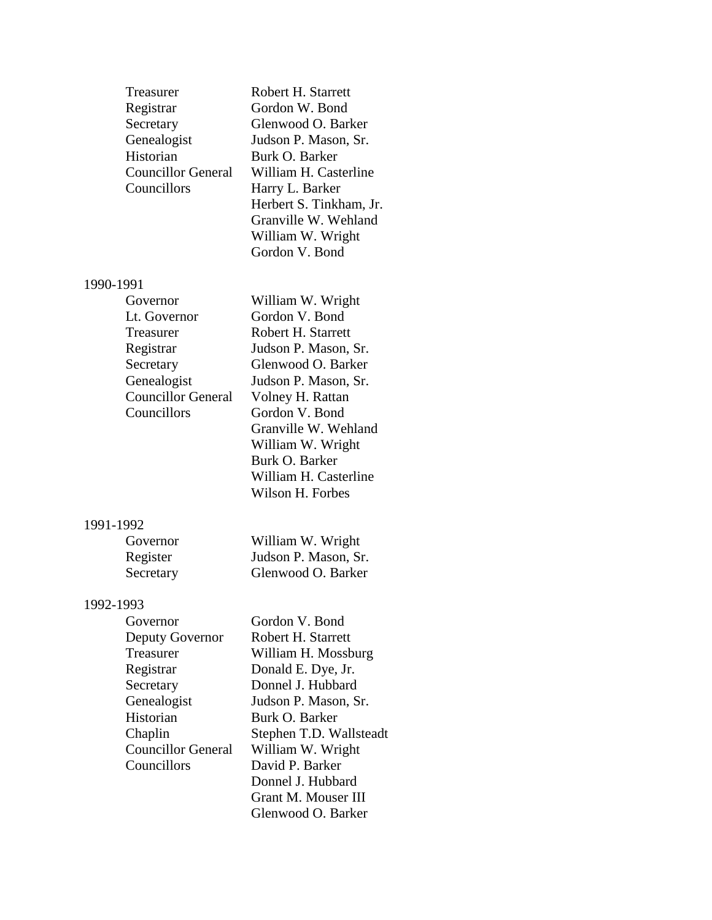| Treasurer<br>Registrar<br>Secretary<br>Genealogist<br>Historian<br><b>Councillor General</b><br>Councillors                                                        | Robert H. Starrett<br>Gordon W. Bond<br>Glenwood O. Barker<br>Judson P. Mason, Sr.<br>Burk O. Barker<br>William H. Casterline<br>Harry L. Barker<br>Herbert S. Tinkham, Jr.<br>Granville W. Wehland<br>William W. Wright<br>Gordon V. Bond                                            |
|--------------------------------------------------------------------------------------------------------------------------------------------------------------------|---------------------------------------------------------------------------------------------------------------------------------------------------------------------------------------------------------------------------------------------------------------------------------------|
| 1990-1991<br>Governor<br>Lt. Governor<br>Treasurer<br>Registrar<br>Secretary<br>Genealogist<br><b>Councillor General</b><br>Councillors                            | William W. Wright<br>Gordon V. Bond<br>Robert H. Starrett<br>Judson P. Mason, Sr.<br>Glenwood O. Barker<br>Judson P. Mason, Sr.<br>Volney H. Rattan<br>Gordon V. Bond<br>Granville W. Wehland<br>William W. Wright<br>Burk O. Barker<br>William H. Casterline<br>Wilson H. Forbes     |
| 1991-1992<br>Governor<br>Register<br>Secretary                                                                                                                     | William W. Wright<br>Judson P. Mason, Sr.<br>Glenwood O. Barker                                                                                                                                                                                                                       |
| 1992-1993<br>Governor<br>Deputy Governor<br>Treasurer<br>Registrar<br>Secretary<br>Genealogist<br>Historian<br>Chaplin<br><b>Councillor General</b><br>Councillors | Gordon V. Bond<br>Robert H. Starrett<br>William H. Mossburg<br>Donald E. Dye, Jr.<br>Donnel J. Hubbard<br>Judson P. Mason, Sr.<br>Burk O. Barker<br>Stephen T.D. Wallsteadt<br>William W. Wright<br>David P. Barker<br>Donnel J. Hubbard<br>Grant M. Mouser III<br>Glenwood O. Barker |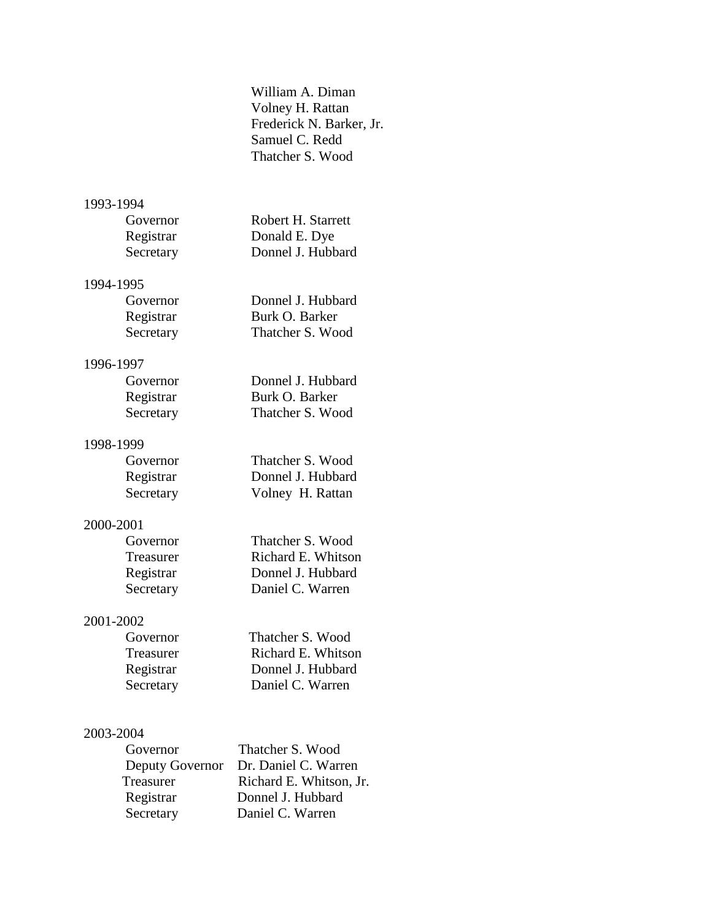William A. Diman Volney H. Rattan Frederick N. Barker, Jr. Samuel C. Redd Thatcher S. Wood

## 1993-1994

| Governor  | Robert H. Starrett |
|-----------|--------------------|
| Registrar | Donald E. Dye      |
| Secretary | Donnel J. Hubbard  |

# 1994-1995

| Governor  | Donnel J. Hubbard |
|-----------|-------------------|
| Registrar | Burk O. Barker    |
| Secretary | Thatcher S. Wood  |

## 1996-1997

| Governor  | Donnel J. Hubbard |
|-----------|-------------------|
| Registrar | Burk O. Barker    |
| Secretary | Thatcher S. Wood  |

# 1998-1999

| Governor  | Thatcher S. Wood  |
|-----------|-------------------|
| Registrar | Donnel J. Hubbard |
| Secretary | Volney H. Rattan  |

# 2000-2001

| Governor  | Thatcher S. Wood   |
|-----------|--------------------|
| Treasurer | Richard E. Whitson |
| Registrar | Donnel J. Hubbard  |
| Secretary | Daniel C. Warren   |

## 2001-2002

| Governor         | Thatcher S. Wood   |
|------------------|--------------------|
| <b>Treasurer</b> | Richard E. Whitson |
| Registrar        | Donnel J. Hubbard  |
| Secretary        | Daniel C. Warren   |

# 2003-2004

| Governor        | Thatcher S. Wood        |
|-----------------|-------------------------|
| Deputy Governor | Dr. Daniel C. Warren    |
| Treasurer       | Richard E. Whitson, Jr. |
| Registrar       | Donnel J. Hubbard       |
| Secretary       | Daniel C. Warren        |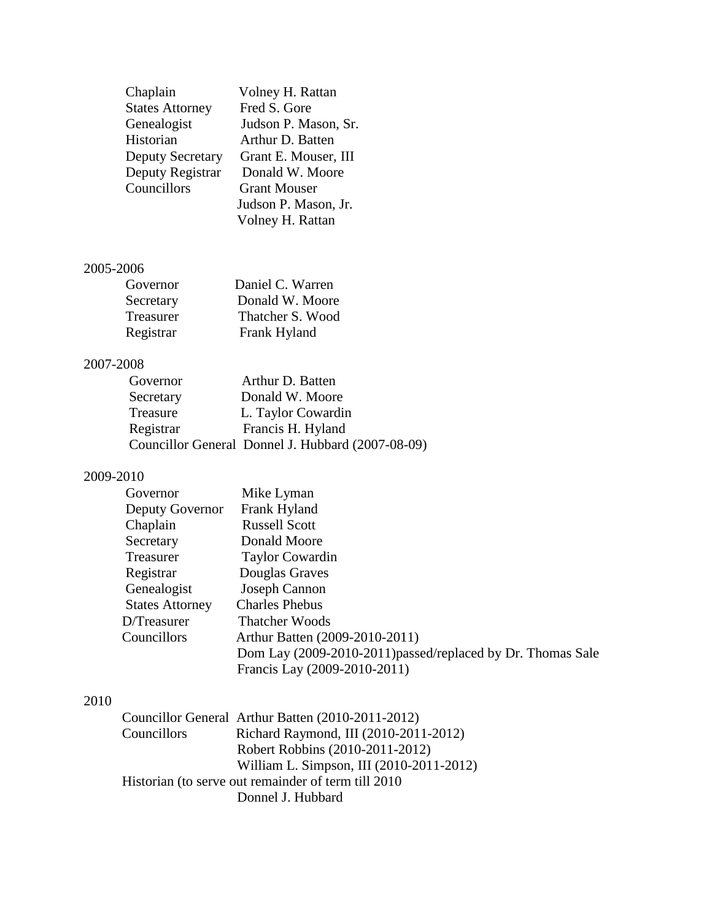| Chaplain                | Volney H. Rattan     |
|-------------------------|----------------------|
| <b>States Attorney</b>  | Fred S. Gore         |
| Genealogist             | Judson P. Mason, Sr. |
| Historian               | Arthur D. Batten     |
| <b>Deputy Secretary</b> | Grant E. Mouser, III |
| Deputy Registrar        | Donald W. Moore      |
| Councillors             | <b>Grant Mouser</b>  |
|                         | Judson P. Mason, Jr. |
|                         | Volney H. Rattan     |

## 2005-2006

| Governor         | Daniel C. Warren |
|------------------|------------------|
| Secretary        | Donald W. Moore  |
| <b>Treasurer</b> | Thatcher S. Wood |
| Registrar        | Frank Hyland     |

# 2007-2008

| Governor  | Arthur D. Batten                                  |
|-----------|---------------------------------------------------|
| Secretary | Donald W. Moore                                   |
| Treasure  | L. Taylor Cowardin                                |
| Registrar | Francis H. Hyland                                 |
|           | Councillor General Donnel J. Hubbard (2007-08-09) |
|           |                                                   |

# 2009-2010

| Governor               | Mike Lyman                                                  |
|------------------------|-------------------------------------------------------------|
| Deputy Governor        | Frank Hyland                                                |
| Chaplain               | <b>Russell Scott</b>                                        |
| Secretary              | Donald Moore                                                |
| Treasurer              | <b>Taylor Cowardin</b>                                      |
| Registrar              | Douglas Graves                                              |
| Genealogist            | Joseph Cannon                                               |
| <b>States Attorney</b> | <b>Charles Phebus</b>                                       |
| D/Treasurer            | <b>Thatcher Woods</b>                                       |
| Councillors            | Arthur Batten (2009-2010-2011)                              |
|                        | Dom Lay (2009-2010-2011) passed/replaced by Dr. Thomas Sale |
|                        | Francis Lay (2009-2010-2011)                                |

# 2010

|             | Councillor General Arthur Batten (2010-2011-2012)    |
|-------------|------------------------------------------------------|
| Councillors | Richard Raymond, III (2010-2011-2012)                |
|             | Robert Robbins (2010-2011-2012)                      |
|             | William L. Simpson, III (2010-2011-2012)             |
|             | Historian (to serve out remainder of term till 2010) |
|             | Donnel J. Hubbard                                    |